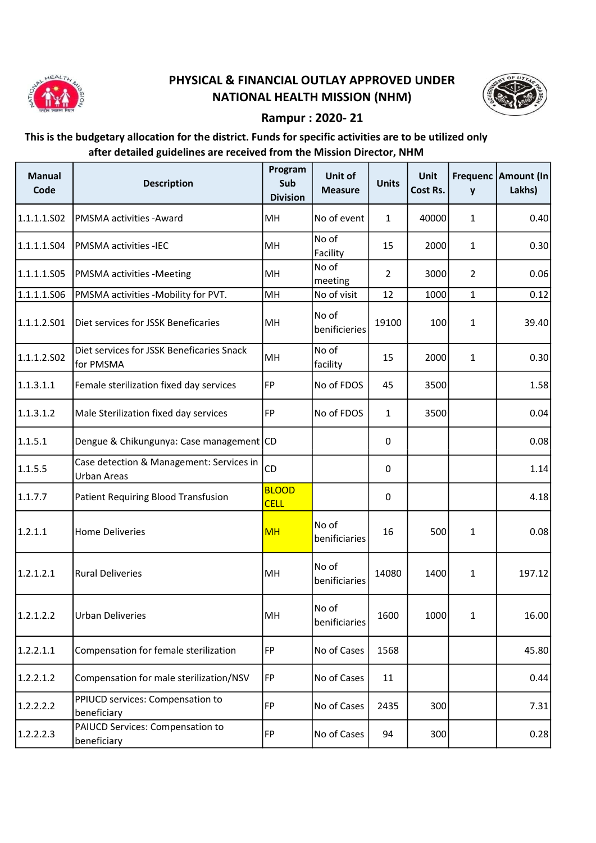

## PHYSICAL & FINANCIAL OUTLAY APPROVED UNDER NATIONAL HEALTH MISSION (NHM)



## Rampur : 2020- 21

## This is the budgetary allocation for the district. Funds for specific activities are to be utilized only after detailed guidelines are received from the Mission Director, NHM

| <b>Manual</b><br>Code | <b>Description</b>                                             | Program<br>Sub<br><b>Division</b> | Unit of<br><b>Measure</b> | <b>Units</b>   | Unit<br>Cost Rs. | y              | Frequenc   Amount (In<br>Lakhs) |
|-----------------------|----------------------------------------------------------------|-----------------------------------|---------------------------|----------------|------------------|----------------|---------------------------------|
| 1.1.1.1.502           | PMSMA activities - Award                                       | MH                                | No of event               | $\mathbf{1}$   | 40000            | 1              | 0.40                            |
| 1.1.1.1.504           | PMSMA activities -IEC                                          | MH                                | No of<br>Facility         | 15             | 2000             | 1              | 0.30                            |
| 1.1.1.1.505           | <b>PMSMA activities -Meeting</b>                               | MH                                | No of<br>meeting          | $\overline{2}$ | 3000             | $\overline{2}$ | 0.06                            |
| 1.1.1.1.506           | PMSMA activities -Mobility for PVT.                            | MH                                | No of visit               | 12             | 1000             | $\mathbf{1}$   | 0.12                            |
| 1.1.1.2.501           | Diet services for JSSK Beneficaries                            | MH                                | No of<br>benificieries    | 19100          | 100              | $\mathbf{1}$   | 39.40                           |
| 1.1.1.2.502           | Diet services for JSSK Beneficaries Snack<br>for PMSMA         | MH                                | No of<br>facility         | 15             | 2000             | $\mathbf{1}$   | 0.30                            |
| 1.1.3.1.1             | Female sterilization fixed day services                        | FP                                | No of FDOS                | 45             | 3500             |                | 1.58                            |
| 1.1.3.1.2             | Male Sterilization fixed day services                          | FP                                | No of FDOS                | 1              | 3500             |                | 0.04                            |
| 1.1.5.1               | Dengue & Chikungunya: Case management CD                       |                                   |                           | 0              |                  |                | 0.08                            |
| 1.1.5.5               | Case detection & Management: Services in<br><b>Urban Areas</b> | CD                                |                           | 0              |                  |                | 1.14                            |
| 1.1.7.7               | Patient Requiring Blood Transfusion                            | <b>BLOOD</b><br><b>CELL</b>       |                           | 0              |                  |                | 4.18                            |
| 1.2.1.1               | <b>Home Deliveries</b>                                         | <b>MH</b>                         | No of<br>benificiaries    | 16             | 500              | 1              | 0.08                            |
| 1.2.1.2.1             | <b>Rural Deliveries</b>                                        | MH                                | No of<br>benificiaries    | 14080          | 1400             | $\mathbf{1}$   | 197.12                          |
| 1.2.1.2.2             | <b>Urban Deliveries</b>                                        | MH                                | No of<br>benificiaries    | 1600           | 1000             | $\mathbf{1}$   | 16.00                           |
| 1.2.2.1.1             | Compensation for female sterilization                          | FP                                | No of Cases               | 1568           |                  |                | 45.80                           |
| 1.2.2.1.2             | Compensation for male sterilization/NSV                        | FP                                | No of Cases               | 11             |                  |                | 0.44                            |
| 1.2.2.2.2             | PPIUCD services: Compensation to<br>beneficiary                | <b>FP</b>                         | No of Cases               | 2435           | 300              |                | 7.31                            |
| 1.2.2.2.3             | PAIUCD Services: Compensation to<br>beneficiary                | <b>FP</b>                         | No of Cases               | 94             | 300              |                | 0.28                            |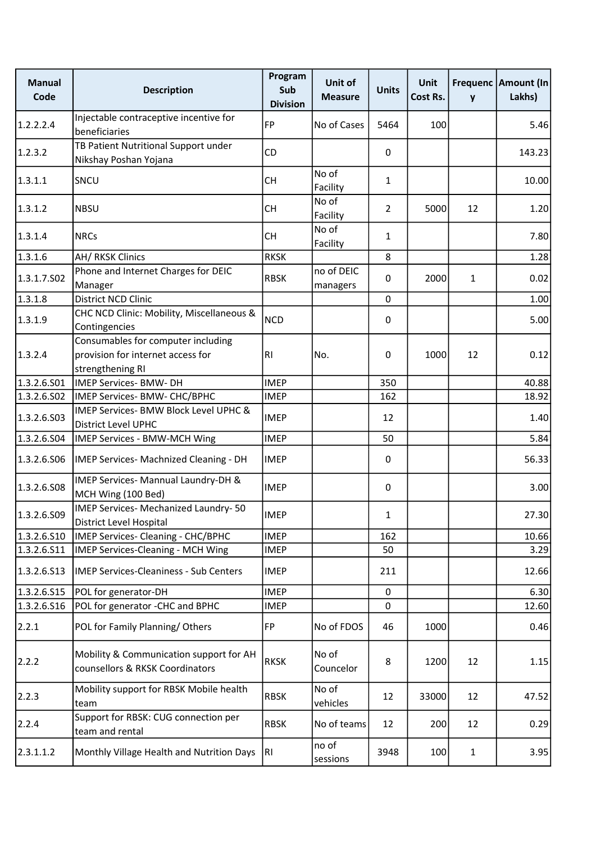| <b>Manual</b><br>Code | <b>Description</b>                                                                          | Program<br>Sub<br><b>Division</b> | Unit of<br><b>Measure</b> | <b>Units</b>   | Unit<br>Cost Rs. | y  | Frequenc   Amount (In<br>Lakhs) |
|-----------------------|---------------------------------------------------------------------------------------------|-----------------------------------|---------------------------|----------------|------------------|----|---------------------------------|
| 1.2.2.2.4             | Injectable contraceptive incentive for<br>beneficiaries                                     | FP                                | No of Cases               | 5464           | 100              |    | 5.46                            |
| 1.2.3.2               | TB Patient Nutritional Support under<br>Nikshay Poshan Yojana                               | <b>CD</b>                         |                           | 0              |                  |    | 143.23                          |
| 1.3.1.1               | SNCU                                                                                        | <b>CH</b>                         | No of<br>Facility         | $\mathbf{1}$   |                  |    | 10.00                           |
| 1.3.1.2               | <b>NBSU</b>                                                                                 | <b>CH</b>                         | No of<br>Facility         | $\overline{2}$ | 5000             | 12 | 1.20                            |
| 1.3.1.4               | <b>NRCs</b>                                                                                 | <b>CH</b>                         | No of<br>Facility         | $\mathbf{1}$   |                  |    | 7.80                            |
| 1.3.1.6               | <b>AH/ RKSK Clinics</b>                                                                     | <b>RKSK</b>                       |                           | 8              |                  |    | 1.28                            |
| 1.3.1.7.502           | Phone and Internet Charges for DEIC<br>Manager                                              | <b>RBSK</b>                       | no of DEIC<br>managers    | $\mathbf{0}$   | 2000             | 1  | 0.02                            |
| 1.3.1.8               | District NCD Clinic                                                                         |                                   |                           | $\mathbf 0$    |                  |    | 1.00                            |
| 1.3.1.9               | CHC NCD Clinic: Mobility, Miscellaneous &<br>Contingencies                                  | <b>NCD</b>                        |                           | 0              |                  |    | 5.00                            |
| 1.3.2.4               | Consumables for computer including<br>provision for internet access for<br>strengthening RI | R <sub>l</sub>                    | No.                       | 0              | 1000             | 12 | 0.12                            |
| 1.3.2.6.S01           | <b>IMEP Services- BMW- DH</b>                                                               | <b>IMEP</b>                       |                           | 350            |                  |    | 40.88                           |
| 1.3.2.6.S02           | IMEP Services- BMW- CHC/BPHC                                                                | <b>IMEP</b>                       |                           | 162            |                  |    | 18.92                           |
| 1.3.2.6.503           | IMEP Services- BMW Block Level UPHC &<br><b>District Level UPHC</b>                         | <b>IMEP</b>                       |                           | 12             |                  |    | 1.40                            |
| 1.3.2.6.S04           | IMEP Services - BMW-MCH Wing                                                                | <b>IMEP</b>                       |                           | 50             |                  |    | 5.84                            |
| 1.3.2.6.506           | IMEP Services- Machnized Cleaning - DH                                                      | <b>IMEP</b>                       |                           | 0              |                  |    | 56.33                           |
| 1.3.2.6.508           | IMEP Services- Mannual Laundry-DH &<br>MCH Wing (100 Bed)                                   | <b>IMEP</b>                       |                           | 0              |                  |    | 3.00                            |
| 1.3.2.6.S09           | IMEP Services- Mechanized Laundry-50<br>District Level Hospital                             | <b>IMEP</b>                       |                           | 1              |                  |    | 27.30                           |
| 1.3.2.6.510           | IMEP Services- Cleaning - CHC/BPHC                                                          | <b>IMEP</b>                       |                           | 162            |                  |    | 10.66                           |
| 1.3.2.6.511           | <b>IMEP Services-Cleaning - MCH Wing</b>                                                    | <b>IMEP</b>                       |                           | 50             |                  |    | 3.29                            |
| 1.3.2.6.513           | <b>IMEP Services-Cleaniness - Sub Centers</b>                                               | <b>IMEP</b>                       |                           | 211            |                  |    | 12.66                           |
| 1.3.2.6.S15           | POL for generator-DH                                                                        | <b>IMEP</b>                       |                           | 0              |                  |    | 6.30                            |
| 1.3.2.6.516           | POL for generator -CHC and BPHC                                                             | <b>IMEP</b>                       |                           | $\mathbf 0$    |                  |    | 12.60                           |
| 2.2.1                 | POL for Family Planning/Others                                                              | FP                                | No of FDOS                | 46             | 1000             |    | 0.46                            |
| 2.2.2                 | Mobility & Communication support for AH<br>counsellors & RKSK Coordinators                  | <b>RKSK</b>                       | No of<br>Councelor        | 8              | 1200             | 12 | 1.15                            |
| 2.2.3                 | Mobility support for RBSK Mobile health<br>team                                             | <b>RBSK</b>                       | No of<br>vehicles         | 12             | 33000            | 12 | 47.52                           |
| 2.2.4                 | Support for RBSK: CUG connection per<br>team and rental                                     | <b>RBSK</b>                       | No of teams               | 12             | 200              | 12 | 0.29                            |
| 2.3.1.1.2             | Monthly Village Health and Nutrition Days                                                   | RI                                | no of<br>sessions         | 3948           | 100              | 1  | 3.95                            |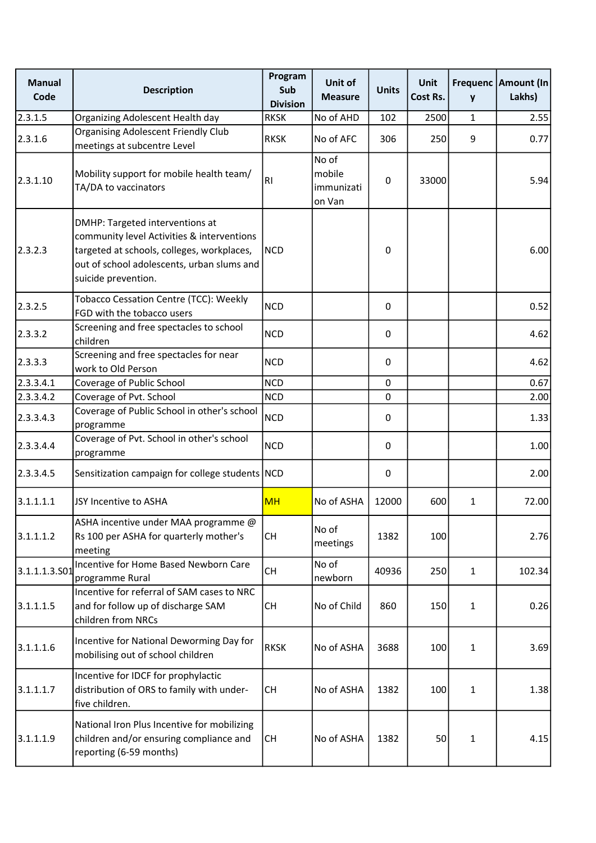| <b>Manual</b><br>Code | <b>Description</b>                                                                                                                                                                               | Program<br>Sub<br><b>Division</b> | Unit of<br><b>Measure</b>               | <b>Units</b> | <b>Unit</b><br>Cost Rs. | y            | Frequenc   Amount (In<br>Lakhs) |
|-----------------------|--------------------------------------------------------------------------------------------------------------------------------------------------------------------------------------------------|-----------------------------------|-----------------------------------------|--------------|-------------------------|--------------|---------------------------------|
| 2.3.1.5               | Organizing Adolescent Health day                                                                                                                                                                 | <b>RKSK</b>                       | No of AHD                               | 102          | 2500                    | 1            | 2.55                            |
| 2.3.1.6               | <b>Organising Adolescent Friendly Club</b><br>meetings at subcentre Level                                                                                                                        | <b>RKSK</b>                       | No of AFC                               | 306          | 250                     | 9            | 0.77                            |
| 2.3.1.10              | Mobility support for mobile health team/<br>TA/DA to vaccinators                                                                                                                                 | R <sub>l</sub>                    | No of<br>mobile<br>immunizati<br>on Van | $\mathbf 0$  | 33000                   |              | 5.94                            |
| 2.3.2.3               | DMHP: Targeted interventions at<br>community level Activities & interventions<br>targeted at schools, colleges, workplaces,<br>out of school adolescents, urban slums and<br>suicide prevention. | <b>NCD</b>                        |                                         | 0            |                         |              | 6.00                            |
| 2.3.2.5               | Tobacco Cessation Centre (TCC): Weekly<br>FGD with the tobacco users                                                                                                                             | <b>NCD</b>                        |                                         | 0            |                         |              | 0.52                            |
| 2.3.3.2               | Screening and free spectacles to school<br>children                                                                                                                                              | <b>NCD</b>                        |                                         | 0            |                         |              | 4.62                            |
| 2.3.3.3               | Screening and free spectacles for near<br>work to Old Person                                                                                                                                     | <b>NCD</b>                        |                                         | 0            |                         |              | 4.62                            |
| 2.3.3.4.1             | Coverage of Public School                                                                                                                                                                        | <b>NCD</b>                        |                                         | $\pmb{0}$    |                         |              | 0.67                            |
| 2.3.3.4.2             | Coverage of Pvt. School                                                                                                                                                                          | <b>NCD</b>                        |                                         | 0            |                         |              | 2.00                            |
| 2.3.3.4.3             | Coverage of Public School in other's school<br>programme                                                                                                                                         | <b>NCD</b>                        |                                         | 0            |                         |              | 1.33                            |
| 2.3.3.4.4             | Coverage of Pvt. School in other's school<br>programme                                                                                                                                           | <b>NCD</b>                        |                                         | $\mathbf 0$  |                         |              | 1.00                            |
| 2.3.3.4.5             | Sensitization campaign for college students NCD                                                                                                                                                  |                                   |                                         | $\pmb{0}$    |                         |              | 2.00                            |
| 3.1.1.1.1             | JSY Incentive to ASHA                                                                                                                                                                            | <b>MH</b>                         | No of ASHA                              | 12000        | 600                     | 1            | 72.00                           |
| 3.1.1.1.2             | ASHA incentive under MAA programme @<br>Rs 100 per ASHA for quarterly mother's<br>meeting                                                                                                        | <b>CH</b>                         | No of<br>meetings                       | 1382         | 100                     |              | 2.76                            |
| 3.1.1.1.3.501         | Incentive for Home Based Newborn Care<br>programme Rural                                                                                                                                         | <b>CH</b>                         | No of<br>newborn                        | 40936        | 250                     | $\mathbf{1}$ | 102.34                          |
| 3.1.1.1.5             | Incentive for referral of SAM cases to NRC<br>and for follow up of discharge SAM<br>children from NRCs                                                                                           | <b>CH</b>                         | No of Child                             | 860          | 150                     | $\mathbf{1}$ | 0.26                            |
| 3.1.1.1.6             | Incentive for National Deworming Day for<br>mobilising out of school children                                                                                                                    | <b>RKSK</b>                       | No of ASHA                              | 3688         | 100                     | $\mathbf{1}$ | 3.69                            |
| 3.1.1.1.7             | Incentive for IDCF for prophylactic<br>distribution of ORS to family with under-<br>five children.                                                                                               | <b>CH</b>                         | No of ASHA                              | 1382         | 100                     | 1            | 1.38                            |
| 3.1.1.1.9             | National Iron Plus Incentive for mobilizing<br>children and/or ensuring compliance and<br>reporting (6-59 months)                                                                                | <b>CH</b>                         | No of ASHA                              | 1382         | 50                      | 1            | 4.15                            |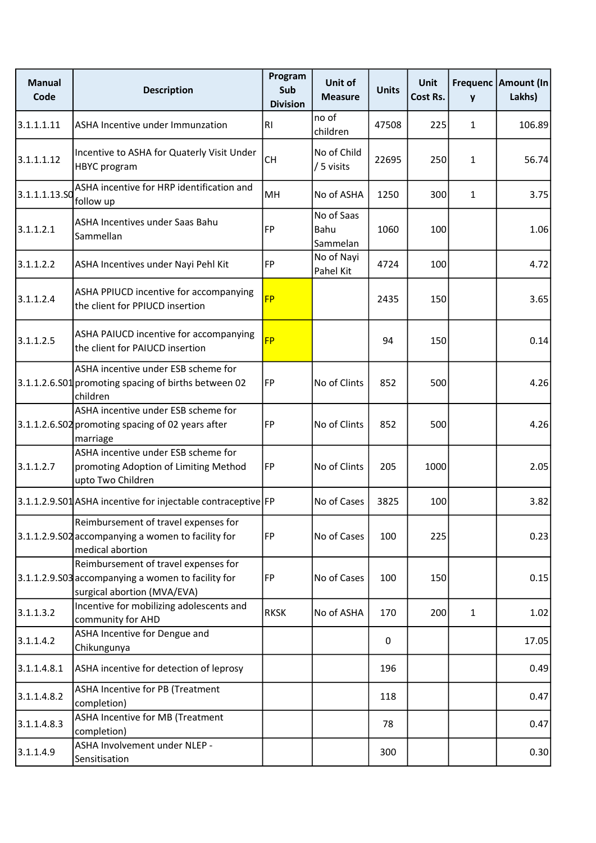| <b>Manual</b><br>Code | <b>Description</b>                                                                                                        | Program<br>Sub<br><b>Division</b> | Unit of<br><b>Measure</b>      | <b>Units</b> | Unit<br>Cost Rs. | $\mathbf{v}$ | Frequenc Amount (In<br>Lakhs) |
|-----------------------|---------------------------------------------------------------------------------------------------------------------------|-----------------------------------|--------------------------------|--------------|------------------|--------------|-------------------------------|
| 3.1.1.1.11            | ASHA Incentive under Immunzation                                                                                          | R <sub>l</sub>                    | no of<br>children              | 47508        | 225              | 1            | 106.89                        |
| 3.1.1.1.12            | Incentive to ASHA for Quaterly Visit Under<br>HBYC program                                                                | <b>CH</b>                         | No of Child<br>/ 5 visits      | 22695        | 250              | $\mathbf{1}$ | 56.74                         |
| 3.1.1.1.13.50         | ASHA incentive for HRP identification and<br>follow up                                                                    | MH                                | No of ASHA                     | 1250         | 300              | 1            | 3.75                          |
| 3.1.1.2.1             | ASHA Incentives under Saas Bahu<br>Sammellan                                                                              | <b>FP</b>                         | No of Saas<br>Bahu<br>Sammelan | 1060         | 100              |              | 1.06                          |
| 3.1.1.2.2             | ASHA Incentives under Nayi Pehl Kit                                                                                       | FP                                | No of Nayi<br>Pahel Kit        | 4724         | 100              |              | 4.72                          |
| 3.1.1.2.4             | ASHA PPIUCD incentive for accompanying<br>the client for PPIUCD insertion                                                 | <b>FP</b>                         |                                | 2435         | 150              |              | 3.65                          |
| 3.1.1.2.5             | ASHA PAIUCD incentive for accompanying<br>the client for PAIUCD insertion                                                 | <b>FP</b>                         |                                | 94           | 150              |              | 0.14                          |
|                       | ASHA incentive under ESB scheme for<br>3.1.1.2.6.S01 promoting spacing of births between 02<br>children                   | FP                                | No of Clints                   | 852          | 500              |              | 4.26                          |
|                       | ASHA incentive under ESB scheme for<br>3.1.1.2.6.S02 promoting spacing of 02 years after<br>marriage                      | FP                                | No of Clints                   | 852          | 500              |              | 4.26                          |
| 3.1.1.2.7             | ASHA incentive under ESB scheme for<br>promoting Adoption of Limiting Method<br>upto Two Children                         | FP                                | No of Clints                   | 205          | 1000             |              | 2.05                          |
|                       | 3.1.1.2.9.S01 ASHA incentive for injectable contraceptive FP                                                              |                                   | No of Cases                    | 3825         | 100              |              | 3.82                          |
|                       | Reimbursement of travel expenses for<br>3.1.1.2.9.502 accompanying a women to facility for<br>medical abortion            | FP                                | No of Cases                    | 100          | 225              |              | 0.23                          |
|                       | Reimbursement of travel expenses for<br>3.1.1.2.9.503 accompanying a women to facility for<br>surgical abortion (MVA/EVA) | FP                                | No of Cases                    | 100          | 150              |              | 0.15                          |
| 3.1.1.3.2             | Incentive for mobilizing adolescents and<br>community for AHD                                                             | <b>RKSK</b>                       | No of ASHA                     | 170          | 200              | $\mathbf{1}$ | 1.02                          |
| 3.1.1.4.2             | ASHA Incentive for Dengue and<br>Chikungunya                                                                              |                                   |                                | 0            |                  |              | 17.05                         |
| 3.1.1.4.8.1           | ASHA incentive for detection of leprosy                                                                                   |                                   |                                | 196          |                  |              | 0.49                          |
| 3.1.1.4.8.2           | ASHA Incentive for PB (Treatment<br>completion)                                                                           |                                   |                                | 118          |                  |              | 0.47                          |
| 3.1.1.4.8.3           | ASHA Incentive for MB (Treatment<br>completion)                                                                           |                                   |                                | 78           |                  |              | 0.47                          |
| 3.1.1.4.9             | ASHA Involvement under NLEP -<br>Sensitisation                                                                            |                                   |                                | 300          |                  |              | 0.30                          |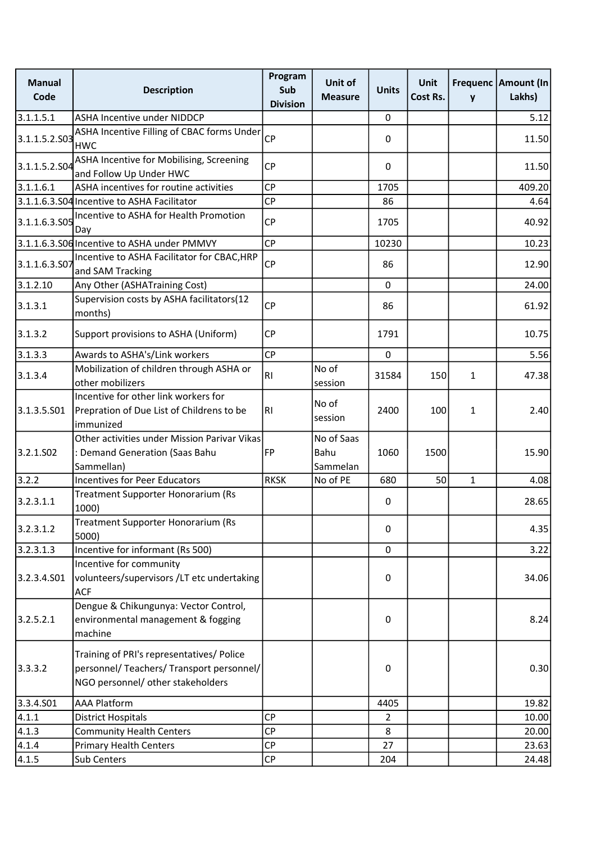| <b>Manual</b><br>Code | <b>Description</b>                                                                                                          | Program<br>Sub<br><b>Division</b> | Unit of<br><b>Measure</b>      | <b>Units</b> | <b>Unit</b><br>Cost Rs. | y            | Frequenc   Amount (In<br>Lakhs) |
|-----------------------|-----------------------------------------------------------------------------------------------------------------------------|-----------------------------------|--------------------------------|--------------|-------------------------|--------------|---------------------------------|
| 3.1.1.5.1             | <b>ASHA Incentive under NIDDCP</b>                                                                                          |                                   |                                | 0            |                         |              | 5.12                            |
| 3.1.1.5.2.S03         | ASHA Incentive Filling of CBAC forms Under<br><b>HWC</b>                                                                    | CP                                |                                | $\mathbf 0$  |                         |              | 11.50                           |
| 3.1.1.5.2.504         | ASHA Incentive for Mobilising, Screening<br>and Follow Up Under HWC                                                         | <b>CP</b>                         |                                | 0            |                         |              | 11.50                           |
| 3.1.1.6.1             | ASHA incentives for routine activities                                                                                      | <b>CP</b>                         |                                | 1705         |                         |              | 409.20                          |
|                       | 3.1.1.6.3.S04 Incentive to ASHA Facilitator                                                                                 | <b>CP</b>                         |                                | 86           |                         |              | 4.64                            |
| 3.1.1.6.3.S05         | Incentive to ASHA for Health Promotion<br>Day                                                                               | <b>CP</b>                         |                                | 1705         |                         |              | 40.92                           |
|                       | 3.1.1.6.3.S06 Incentive to ASHA under PMMVY                                                                                 | <b>CP</b>                         |                                | 10230        |                         |              | 10.23                           |
| 3.1.1.6.3.507         | Incentive to ASHA Facilitator for CBAC, HRP<br>and SAM Tracking                                                             | <b>CP</b>                         |                                | 86           |                         |              | 12.90                           |
| 3.1.2.10              | Any Other (ASHATraining Cost)                                                                                               |                                   |                                | $\mathbf 0$  |                         |              | 24.00                           |
| 3.1.3.1               | Supervision costs by ASHA facilitators(12<br>months)                                                                        | <b>CP</b>                         |                                | 86           |                         |              | 61.92                           |
| 3.1.3.2               | Support provisions to ASHA (Uniform)                                                                                        | <b>CP</b>                         |                                | 1791         |                         |              | 10.75                           |
| 3.1.3.3               | Awards to ASHA's/Link workers                                                                                               | <b>CP</b>                         |                                | $\mathbf 0$  |                         |              | 5.56                            |
| 3.1.3.4               | Mobilization of children through ASHA or<br>other mobilizers                                                                | R <sub>l</sub>                    | No of<br>session               | 31584        | 150                     | $\mathbf{1}$ | 47.38                           |
| 3.1.3.5.501           | Incentive for other link workers for<br>Prepration of Due List of Childrens to be<br>immunized                              | R <sub>l</sub>                    | No of<br>session               | 2400         | 100                     | 1            | 2.40                            |
| 3.2.1.SO <sub>2</sub> | Other activities under Mission Parivar Vikas<br>: Demand Generation (Saas Bahu<br>Sammellan)                                | FP                                | No of Saas<br>Bahu<br>Sammelan | 1060         | 1500                    |              | 15.90                           |
| 3.2.2                 | <b>Incentives for Peer Educators</b>                                                                                        | <b>RKSK</b>                       | No of PE                       | 680          | 50                      | $\mathbf{1}$ | 4.08                            |
| 3.2.3.1.1             | Treatment Supporter Honorarium (Rs<br>1000)                                                                                 |                                   |                                | 0            |                         |              | 28.65                           |
| 3.2.3.1.2             | Treatment Supporter Honorarium (Rs<br>5000)                                                                                 |                                   |                                | $\mathbf 0$  |                         |              | 4.35                            |
| 3.2.3.1.3             | Incentive for informant (Rs 500)                                                                                            |                                   |                                | 0            |                         |              | 3.22                            |
| 3.2.3.4.S01           | Incentive for community<br>volunteers/supervisors /LT etc undertaking<br><b>ACF</b>                                         |                                   |                                | 0            |                         |              | 34.06                           |
| 3.2.5.2.1             | Dengue & Chikungunya: Vector Control,<br>environmental management & fogging<br>machine                                      |                                   |                                | $\mathbf 0$  |                         |              | 8.24                            |
| 3.3.3.2               | Training of PRI's representatives/ Police<br>personnel/ Teachers/ Transport personnel/<br>NGO personnel/ other stakeholders |                                   |                                | $\mathbf 0$  |                         |              | 0.30                            |
| 3.3.4.S01             | <b>AAA Platform</b>                                                                                                         |                                   |                                | 4405         |                         |              | 19.82                           |
| 4.1.1                 | <b>District Hospitals</b>                                                                                                   | <b>CP</b>                         |                                | 2            |                         |              | 10.00                           |
| 4.1.3                 | <b>Community Health Centers</b>                                                                                             | <b>CP</b>                         |                                | 8            |                         |              | 20.00                           |
| 4.1.4                 | <b>Primary Health Centers</b>                                                                                               | <b>CP</b>                         |                                | 27           |                         |              | 23.63                           |
| 4.1.5                 | Sub Centers                                                                                                                 | <b>CP</b>                         |                                | 204          |                         |              | 24.48                           |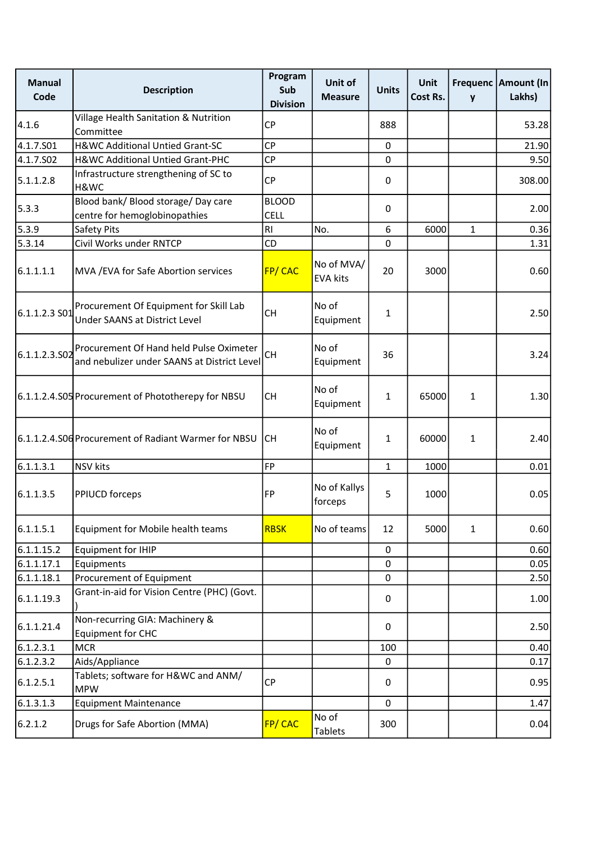| <b>Manual</b><br>Code | <b>Description</b>                                                                     | Program<br>Sub<br><b>Division</b> | Unit of<br><b>Measure</b>     | <b>Units</b> | <b>Unit</b><br>Cost Rs. | y            | Frequenc   Amount (In<br>Lakhs) |
|-----------------------|----------------------------------------------------------------------------------------|-----------------------------------|-------------------------------|--------------|-------------------------|--------------|---------------------------------|
| 4.1.6                 | Village Health Sanitation & Nutrition<br>Committee                                     | <b>CP</b>                         |                               | 888          |                         |              | 53.28                           |
| 4.1.7.S01             | H&WC Additional Untied Grant-SC                                                        | <b>CP</b>                         |                               | 0            |                         |              | 21.90                           |
| 4.1.7.S02             | H&WC Additional Untied Grant-PHC                                                       | <b>CP</b>                         |                               | 0            |                         |              | 9.50                            |
| 5.1.1.2.8             | Infrastructure strengthening of SC to<br>H&WC                                          | <b>CP</b>                         |                               | 0            |                         |              | 308.00                          |
| 5.3.3                 | Blood bank/ Blood storage/ Day care<br>centre for hemoglobinopathies                   | <b>BLOOD</b><br><b>CELL</b>       |                               | 0            |                         |              | 2.00                            |
| 5.3.9                 | Safety Pits                                                                            | <b>RI</b>                         | No.                           | 6            | 6000                    | $\mathbf{1}$ | 0.36                            |
| 5.3.14                | Civil Works under RNTCP                                                                | CD                                |                               | 0            |                         |              | 1.31                            |
| 6.1.1.1.1             | MVA / EVA for Safe Abortion services                                                   | FP/CAC                            | No of MVA/<br><b>EVA kits</b> | 20           | 3000                    |              | 0.60                            |
| 6.1.1.2.3 S01         | Procurement Of Equipment for Skill Lab<br>Under SAANS at District Level                | <b>CH</b>                         | No of<br>Equipment            | $\mathbf{1}$ |                         |              | 2.50                            |
| 6.1.1.2.3.502         | Procurement Of Hand held Pulse Oximeter<br>and nebulizer under SAANS at District Level | <b>CH</b>                         | No of<br>Equipment            | 36           |                         |              | 3.24                            |
|                       | 6.1.1.2.4.S05 Procurement of Phototherepy for NBSU                                     | <b>CH</b>                         | No of<br>Equipment            | $\mathbf{1}$ | 65000                   | $\mathbf{1}$ | 1.30                            |
|                       | 6.1.1.2.4.S06 Procurement of Radiant Warmer for NBSU                                   | <b>CH</b>                         | No of<br>Equipment            | $\mathbf{1}$ | 60000                   | $\mathbf{1}$ | 2.40                            |
| 6.1.1.3.1             | <b>NSV</b> kits                                                                        | FP                                |                               | $\mathbf{1}$ | 1000                    |              | 0.01                            |
| 6.1.1.3.5             | PPIUCD forceps                                                                         | FP                                | No of Kallys<br>forceps       | 5            | 1000                    |              | 0.05                            |
| 6.1.1.5.1             | Equipment for Mobile health teams                                                      | <b>RBSK</b>                       | No of teams                   | 12           | 5000                    | $\mathbf{1}$ | 0.60                            |
| 6.1.1.15.2            | <b>Equipment for IHIP</b>                                                              |                                   |                               | 0            |                         |              | 0.60                            |
| 6.1.1.17.1            | Equipments                                                                             |                                   |                               | $\mathbf 0$  |                         |              | 0.05                            |
| 6.1.1.18.1            | Procurement of Equipment                                                               |                                   |                               | $\mathbf 0$  |                         |              | 2.50                            |
| 6.1.1.19.3            | Grant-in-aid for Vision Centre (PHC) (Govt.                                            |                                   |                               | 0            |                         |              | 1.00                            |
| 6.1.1.21.4            | Non-recurring GIA: Machinery &<br>Equipment for CHC                                    |                                   |                               | 0            |                         |              | 2.50                            |
| 6.1.2.3.1             | <b>MCR</b>                                                                             |                                   |                               | 100          |                         |              | 0.40                            |
| 6.1.2.3.2             | Aids/Appliance                                                                         |                                   |                               | 0            |                         |              | 0.17                            |
| 6.1.2.5.1             | Tablets; software for H&WC and ANM/<br><b>MPW</b>                                      | <b>CP</b>                         |                               | 0            |                         |              | 0.95                            |
| 6.1.3.1.3             | <b>Equipment Maintenance</b>                                                           |                                   |                               | 0            |                         |              | 1.47                            |
| 6.2.1.2               | Drugs for Safe Abortion (MMA)                                                          | FP/CAC                            | No of<br><b>Tablets</b>       | 300          |                         |              | 0.04                            |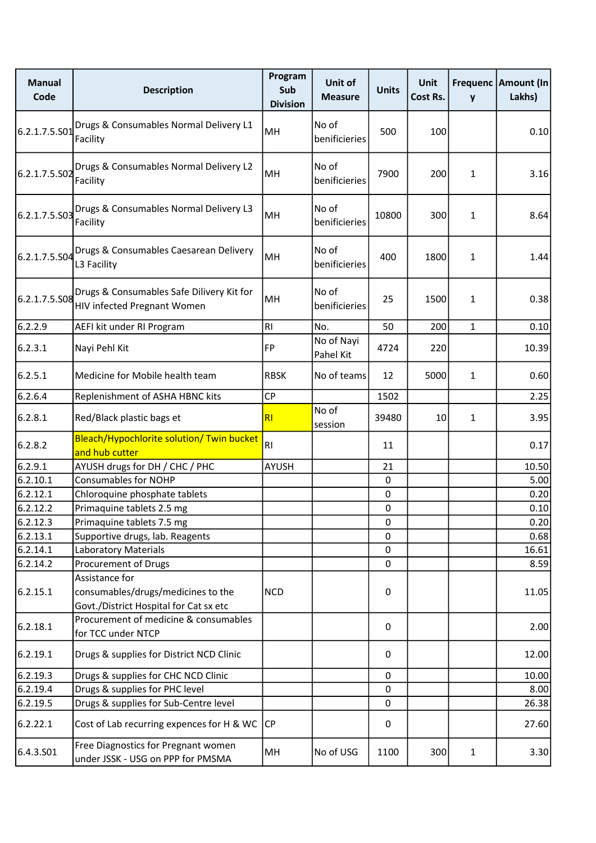| <b>Manual</b><br>Code | <b>Description</b>                                                                             | Program<br>Sub<br><b>Division</b> | Unit of<br><b>Measure</b> | <b>Units</b> | Unit<br>Cost Rs. | y            | Frequenc   Amount (In<br>Lakhs) |
|-----------------------|------------------------------------------------------------------------------------------------|-----------------------------------|---------------------------|--------------|------------------|--------------|---------------------------------|
| 6.2.1.7.5.501         | Drugs & Consumables Normal Delivery L1<br>Facility                                             | MH                                | No of<br>benificieries    | 500          | 100              |              | 0.10                            |
| 6.2.1.7.5.S02         | Drugs & Consumables Normal Delivery L2<br>Facility                                             | MH                                | No of<br>benificieries    | 7900         | 200              | 1            | 3.16                            |
| 6.2.1.7.5.S03         | Drugs & Consumables Normal Delivery L3<br>Facility                                             | MH                                | No of<br>benificieries    | 10800        | 300              | 1            | 8.64                            |
| 6.2.1.7.5.S04         | Drugs & Consumables Caesarean Delivery<br>L3 Facility                                          | MH                                | No of<br>benificieries    | 400          | 1800             | 1            | 1.44                            |
| 6.2.1.7.5.508         | Drugs & Consumables Safe Dilivery Kit for<br>HIV infected Pregnant Women                       | MH                                | No of<br>benificieries    | 25           | 1500             | 1            | 0.38                            |
| 6.2.2.9               | AEFI kit under RI Program                                                                      | RI                                | No.                       | 50           | 200              | $\mathbf{1}$ | 0.10                            |
| 6.2.3.1               | Nayi Pehl Kit                                                                                  | <b>FP</b>                         | No of Nayi<br>Pahel Kit   | 4724         | 220              |              | 10.39                           |
| 6.2.5.1               | Medicine for Mobile health team                                                                | <b>RBSK</b>                       | No of teams               | 12           | 5000             | $\mathbf{1}$ | 0.60                            |
| 6.2.6.4               | Replenishment of ASHA HBNC kits                                                                | <b>CP</b>                         |                           | 1502         |                  |              | 2.25                            |
| 6.2.8.1               | Red/Black plastic bags et                                                                      | R <sub>l</sub>                    | No of<br>session          | 39480        | 10               | $\mathbf{1}$ | 3.95                            |
| 6.2.8.2               | Bleach/Hypochlorite solution/ Twin bucket<br>and hub cutter                                    | R <sub>l</sub>                    |                           | 11           |                  |              | 0.17                            |
| 6.2.9.1               | AYUSH drugs for DH / CHC / PHC                                                                 | <b>AYUSH</b>                      |                           | 21           |                  |              | 10.50                           |
| 6.2.10.1              | <b>Consumables for NOHP</b>                                                                    |                                   |                           | $\mathbf 0$  |                  |              | 5.00                            |
| 6.2.12.1              | Chloroquine phosphate tablets                                                                  |                                   |                           | $\pmb{0}$    |                  |              | 0.20                            |
| 6.2.12.2              | Primaquine tablets 2.5 mg                                                                      |                                   |                           | 0            |                  |              | 0.10                            |
| 6.2.12.3              | Primaquine tablets 7.5 mg                                                                      |                                   |                           | $\pmb{0}$    |                  |              | 0.20                            |
| 6.2.13.1              | Supportive drugs, lab. Reagents                                                                |                                   |                           | $\mathbf 0$  |                  |              | 0.68                            |
| 6.2.14.1              | Laboratory Materials                                                                           |                                   |                           | 0            |                  |              | 16.61                           |
| 6.2.14.2              | Procurement of Drugs                                                                           |                                   |                           | $\mathbf 0$  |                  |              | 8.59                            |
| 6.2.15.1              | Assistance for<br>consumables/drugs/medicines to the<br>Govt./District Hospital for Cat sx etc | <b>NCD</b>                        |                           | 0            |                  |              | 11.05                           |
| 6.2.18.1              | Procurement of medicine & consumables<br>for TCC under NTCP                                    |                                   |                           | 0            |                  |              | 2.00                            |
| 6.2.19.1              | Drugs & supplies for District NCD Clinic                                                       |                                   |                           | 0            |                  |              | 12.00                           |
| 6.2.19.3              | Drugs & supplies for CHC NCD Clinic                                                            |                                   |                           | 0            |                  |              | 10.00                           |
| 6.2.19.4              | Drugs & supplies for PHC level                                                                 |                                   |                           | 0            |                  |              | 8.00                            |
| 6.2.19.5              | Drugs & supplies for Sub-Centre level                                                          |                                   |                           | 0            |                  |              | 26.38                           |
| 6.2.22.1              | Cost of Lab recurring expences for H & WC                                                      | CP                                |                           | 0            |                  |              | 27.60                           |
| 6.4.3.501             | Free Diagnostics for Pregnant women<br>under JSSK - USG on PPP for PMSMA                       | MH                                | No of USG                 | 1100         | 300              | $\mathbf{1}$ | 3.30                            |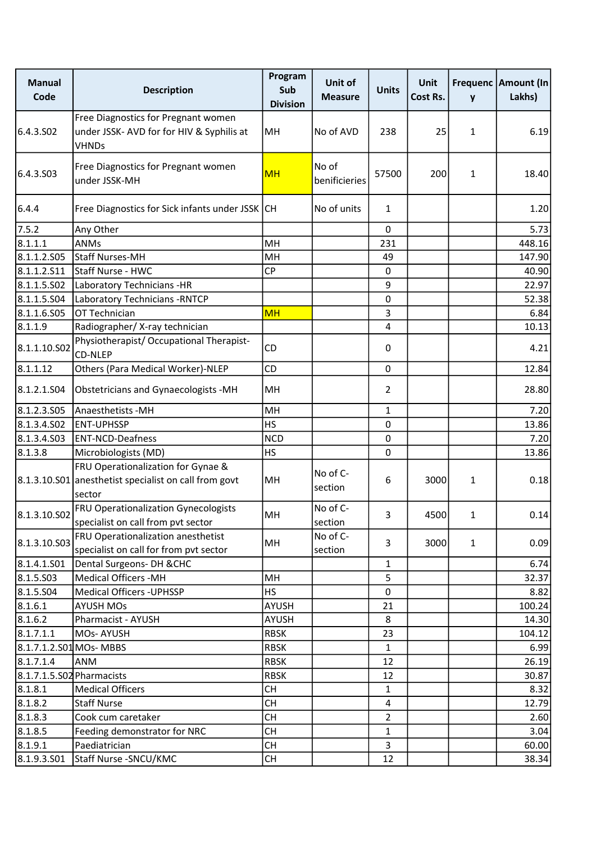| <b>Manual</b><br>Code     | <b>Description</b>                                                                                    | Program<br>Sub<br><b>Division</b> | Unit of<br><b>Measure</b> | <b>Units</b>   | Unit<br>Cost Rs. | y            | Frequenc Amount (In<br>Lakhs) |
|---------------------------|-------------------------------------------------------------------------------------------------------|-----------------------------------|---------------------------|----------------|------------------|--------------|-------------------------------|
| 6.4.3.SO <sub>2</sub>     | Free Diagnostics for Pregnant women<br>under JSSK- AVD for for HIV & Syphilis at<br><b>VHNDs</b>      | MH                                | No of AVD                 | 238            | 25               | 1            | 6.19                          |
| 6.4.3.S03                 | Free Diagnostics for Pregnant women<br>under JSSK-MH                                                  | <b>MH</b>                         | No of<br>benificieries    | 57500          | 200              | 1            | 18.40                         |
| 6.4.4                     | Free Diagnostics for Sick infants under JSSK                                                          | lCH                               | No of units               | $\mathbf{1}$   |                  |              | 1.20                          |
| 7.5.2                     | Any Other                                                                                             |                                   |                           | $\mathbf 0$    |                  |              | 5.73                          |
| 8.1.1.1                   | <b>ANMs</b>                                                                                           | MH                                |                           | 231            |                  |              | 448.16                        |
| 8.1.1.2.505               | Staff Nurses-MH                                                                                       | MH                                |                           | 49             |                  |              | 147.90                        |
| 8.1.1.2.511               | Staff Nurse - HWC                                                                                     | <b>CP</b>                         |                           | $\pmb{0}$      |                  |              | 40.90                         |
| 8.1.1.5.502               | Laboratory Technicians -HR                                                                            |                                   |                           | 9              |                  |              | 22.97                         |
| 8.1.1.5.504               | Laboratory Technicians - RNTCP                                                                        |                                   |                           | $\pmb{0}$      |                  |              | 52.38                         |
| 8.1.1.6.S05               | OT Technician                                                                                         | <b>MH</b>                         |                           | 3              |                  |              | 6.84                          |
| 8.1.1.9                   | Radiographer/X-ray technician                                                                         |                                   |                           | 4              |                  |              | 10.13                         |
| 8.1.1.10.S02              | Physiotherapist/ Occupational Therapist-<br><b>CD-NLEP</b>                                            | <b>CD</b>                         |                           | $\pmb{0}$      |                  |              | 4.21                          |
| 8.1.1.12                  | Others (Para Medical Worker)-NLEP                                                                     | <b>CD</b>                         |                           | $\pmb{0}$      |                  |              | 12.84                         |
| 8.1.2.1.504               | Obstetricians and Gynaecologists -MH                                                                  | MH                                |                           | 2              |                  |              | 28.80                         |
| 8.1.2.3.505               | Anaesthetists - MH                                                                                    | MH                                |                           | $\mathbf{1}$   |                  |              | 7.20                          |
| 8.1.3.4.SO2               | <b>ENT-UPHSSP</b>                                                                                     | <b>HS</b>                         |                           | $\pmb{0}$      |                  |              | 13.86                         |
| 8.1.3.4.503               | <b>ENT-NCD-Deafness</b>                                                                               | <b>NCD</b>                        |                           | $\mathbf 0$    |                  |              | 7.20                          |
| 8.1.3.8                   | Microbiologists (MD)                                                                                  | <b>HS</b>                         |                           | $\mathbf 0$    |                  |              | 13.86                         |
|                           | FRU Operationalization for Gynae &<br>8.1.3.10.S01 anesthetist specialist on call from govt<br>sector | MH                                | No of C-<br>section       | 6              | 3000             | 1            | 0.18                          |
| 8.1.3.10.S02              | <b>FRU Operationalization Gynecologists</b><br>specialist on call from pvt sector                     | MH                                | No of C-<br>section       | 3              | 4500             | 1            | 0.14                          |
| 8.1.3.10.S03              | FRU Operationalization anesthetist<br>specialist on call for from pvt sector                          | MH                                | No of C-<br>section       | 3              | 3000             | $\mathbf{1}$ | 0.09                          |
| 8.1.4.1.501               | Dental Surgeons- DH & CHC                                                                             |                                   |                           | $\mathbf{1}$   |                  |              | 6.74                          |
| 8.1.5.503                 | <b>Medical Officers -MH</b>                                                                           | MH                                |                           | 5              |                  |              | 32.37                         |
| 8.1.5.504                 | <b>Medical Officers - UPHSSP</b>                                                                      | <b>HS</b>                         |                           | $\mathbf 0$    |                  |              | 8.82                          |
| 8.1.6.1                   | <b>AYUSH MOs</b>                                                                                      | AYUSH                             |                           | 21             |                  |              | 100.24                        |
| 8.1.6.2                   | Pharmacist - AYUSH                                                                                    | <b>AYUSH</b>                      |                           | 8              |                  |              | 14.30                         |
| 8.1.7.1.1                 | MOs-AYUSH                                                                                             | <b>RBSK</b>                       |                           | 23             |                  |              | 104.12                        |
| 8.1.7.1.2.S01 MOs-MBBS    |                                                                                                       | <b>RBSK</b>                       |                           | 1              |                  |              | 6.99                          |
| 8.1.7.1.4                 | <b>ANM</b>                                                                                            | <b>RBSK</b>                       |                           | 12             |                  |              | 26.19                         |
| 8.1.7.1.5.S02 Pharmacists |                                                                                                       | <b>RBSK</b>                       |                           | 12             |                  |              | 30.87                         |
| 8.1.8.1                   | <b>Medical Officers</b>                                                                               | <b>CH</b>                         |                           | $\mathbf{1}$   |                  |              | 8.32                          |
| 8.1.8.2                   | <b>Staff Nurse</b>                                                                                    | <b>CH</b>                         |                           | 4              |                  |              | 12.79                         |
| 8.1.8.3                   | Cook cum caretaker                                                                                    | <b>CH</b>                         |                           | $\overline{2}$ |                  |              | 2.60                          |
| 8.1.8.5                   | Feeding demonstrator for NRC                                                                          | <b>CH</b>                         |                           | $\mathbf{1}$   |                  |              | 3.04                          |
| 8.1.9.1                   | Paediatrician                                                                                         | <b>CH</b>                         |                           | 3              |                  |              | 60.00                         |
| 8.1.9.3.501               | Staff Nurse - SNCU/KMC                                                                                | <b>CH</b>                         |                           | 12             |                  |              | 38.34                         |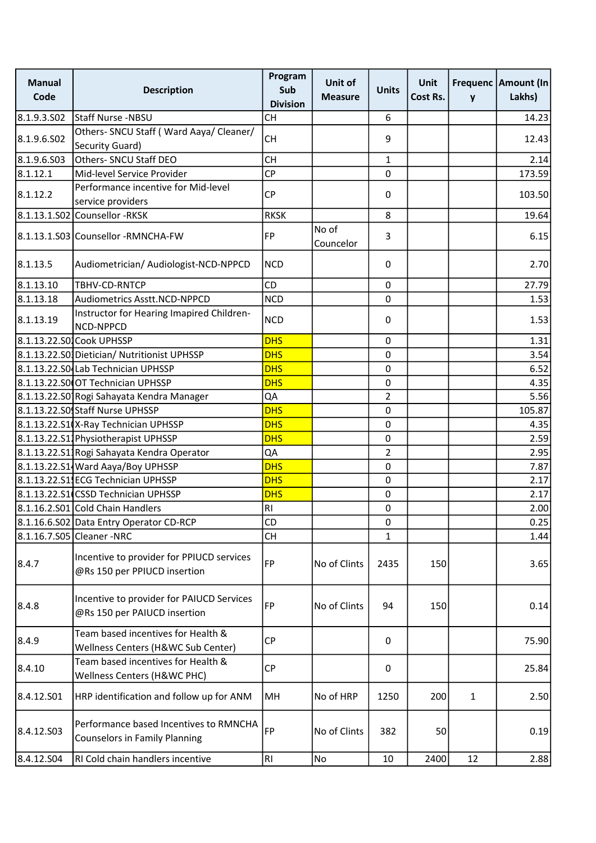| <b>Manual</b><br>Code | <b>Description</b>                                                             | Program<br>Sub<br><b>Division</b> | Unit of<br><b>Measure</b> | <b>Units</b>     | Unit<br>Cost Rs. | y            | Frequenc   Amount (In<br>Lakhs) |
|-----------------------|--------------------------------------------------------------------------------|-----------------------------------|---------------------------|------------------|------------------|--------------|---------------------------------|
| 8.1.9.3.502           | <b>Staff Nurse -NBSU</b>                                                       | <b>CH</b>                         |                           | $\boldsymbol{6}$ |                  |              | 14.23                           |
| 8.1.9.6.502           | Others- SNCU Staff (Ward Aaya/ Cleaner/<br>Security Guard)                     | <b>CH</b>                         |                           | 9                |                  |              | 12.43                           |
| 8.1.9.6.503           | Others- SNCU Staff DEO                                                         | <b>CH</b>                         |                           | 1                |                  |              | 2.14                            |
| 8.1.12.1              | Mid-level Service Provider                                                     | <b>CP</b>                         |                           | $\mathbf 0$      |                  |              | 173.59                          |
| 8.1.12.2              | Performance incentive for Mid-level<br>service providers                       | <b>CP</b>                         |                           | 0                |                  |              | 103.50                          |
|                       | 8.1.13.1.S02 Counsellor -RKSK                                                  | <b>RKSK</b>                       |                           | 8                |                  |              | 19.64                           |
|                       | 8.1.13.1.S03 Counsellor - RMNCHA-FW                                            | FP                                | No of<br>Councelor        | 3                |                  |              | 6.15                            |
| 8.1.13.5              | Audiometrician/ Audiologist-NCD-NPPCD                                          | <b>NCD</b>                        |                           | 0                |                  |              | 2.70                            |
| 8.1.13.10             | TBHV-CD-RNTCP                                                                  | CD                                |                           | $\mathbf 0$      |                  |              | 27.79                           |
| 8.1.13.18             | Audiometrics Asstt.NCD-NPPCD                                                   | <b>NCD</b>                        |                           | $\mathbf 0$      |                  |              | 1.53                            |
| 8.1.13.19             | Instructor for Hearing Imapired Children-<br>NCD-NPPCD                         | <b>NCD</b>                        |                           | 0                |                  |              | 1.53                            |
|                       | 8.1.13.22.S01Cook UPHSSP                                                       | <b>DHS</b>                        |                           | $\mathbf 0$      |                  |              | 1.31                            |
|                       | 8.1.13.22.S0 Dietician/ Nutritionist UPHSSP                                    | <b>DHS</b>                        |                           | $\mathbf 0$      |                  |              | 3.54                            |
|                       | 8.1.13.22.S04 Lab Technician UPHSSP                                            | <b>DHS</b>                        |                           | $\pmb{0}$        |                  |              | 6.52                            |
|                       | 8.1.13.22.SO OT Technician UPHSSP                                              | <b>DHS</b>                        |                           | $\mathbf 0$      |                  |              | 4.35                            |
|                       | 8.1.13.22.S0 Rogi Sahayata Kendra Manager                                      | QA                                |                           | $\overline{a}$   |                  |              | 5.56                            |
|                       | 8.1.13.22.S0 Staff Nurse UPHSSP                                                | <b>DHS</b>                        |                           | $\pmb{0}$        |                  |              | 105.87                          |
|                       | 8.1.13.22.S1 (X-Ray Technician UPHSSP                                          | <b>DHS</b>                        |                           | $\pmb{0}$        |                  |              | 4.35                            |
|                       | 8.1.13.22.S11 Physiotherapist UPHSSP                                           | <b>DHS</b>                        |                           | $\mathbf 0$      |                  |              | 2.59                            |
|                       | 8.1.13.22.S1 Rogi Sahayata Kendra Operator                                     | QA                                |                           | 2                |                  |              | 2.95                            |
|                       | 8.1.13.22.S1 Ward Aaya/Boy UPHSSP                                              | <b>DHS</b>                        |                           | $\pmb{0}$        |                  |              | 7.87                            |
|                       | 8.1.13.22.S1 ECG Technician UPHSSP                                             | <b>DHS</b>                        |                           | $\mathbf 0$      |                  |              | 2.17                            |
|                       | 8.1.13.22.S1 CSSD Technician UPHSSP                                            | <b>DHS</b>                        |                           | $\pmb{0}$        |                  |              | 2.17                            |
|                       | 8.1.16.2.S01 Cold Chain Handlers                                               | R <sub>1</sub>                    |                           | $\pmb{0}$        |                  |              | 2.00                            |
|                       | 8.1.16.6.S02 Data Entry Operator CD-RCP                                        | <b>CD</b>                         |                           | 0                |                  |              | 0.25                            |
|                       | 8.1.16.7.S05 Cleaner -NRC                                                      | <b>CH</b>                         |                           | $\mathbf{1}$     |                  |              | 1.44                            |
| 8.4.7                 | Incentive to provider for PPIUCD services<br>@Rs 150 per PPIUCD insertion      | FP                                | No of Clints              | 2435             | 150              |              | 3.65                            |
| 8.4.8                 | Incentive to provider for PAIUCD Services<br>@Rs 150 per PAIUCD insertion      | FP                                | No of Clints              | 94               | 150              |              | 0.14                            |
| 8.4.9                 | Team based incentives for Health &<br>Wellness Centers (H&WC Sub Center)       | <b>CP</b>                         |                           | $\mathbf 0$      |                  |              | 75.90                           |
| 8.4.10                | Team based incentives for Health &<br>Wellness Centers (H&WC PHC)              | <b>CP</b>                         |                           | $\mathbf 0$      |                  |              | 25.84                           |
| 8.4.12.S01            | HRP identification and follow up for ANM                                       | MH                                | No of HRP                 | 1250             | 200              | $\mathbf{1}$ | 2.50                            |
| 8.4.12.503            | Performance based Incentives to RMNCHA<br><b>Counselors in Family Planning</b> | <b>FP</b>                         | No of Clints              | 382              | 50               |              | 0.19                            |
| 8.4.12.S04            | RI Cold chain handlers incentive                                               | RI                                | No                        | 10               | 2400             | 12           | 2.88                            |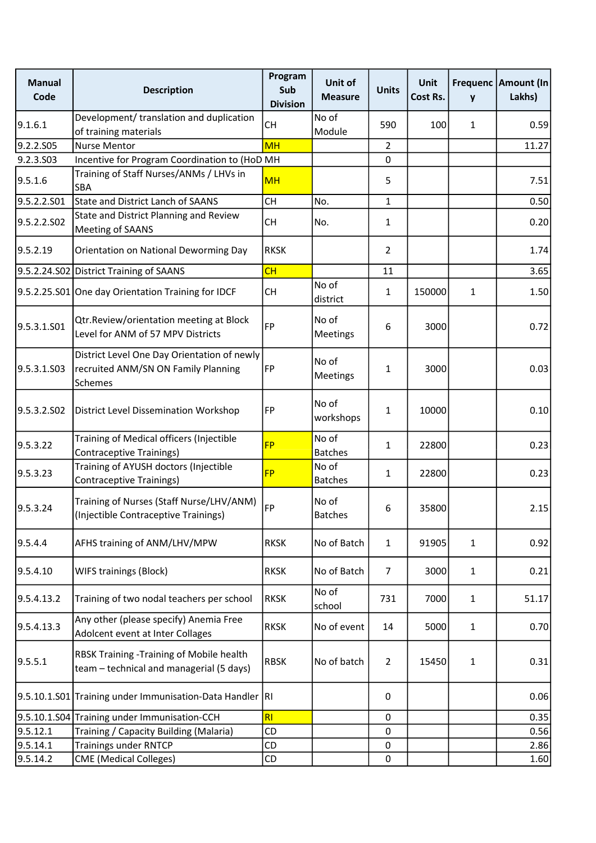| <b>Manual</b><br>Code | <b>Description</b>                                                                                   | Program<br>Sub<br><b>Division</b> | Unit of<br><b>Measure</b> | <b>Units</b>   | Unit<br>Cost Rs. | y            | Frequenc Amount (In<br>Lakhs) |
|-----------------------|------------------------------------------------------------------------------------------------------|-----------------------------------|---------------------------|----------------|------------------|--------------|-------------------------------|
| 9.1.6.1               | Development/ translation and duplication<br>of training materials                                    | <b>CH</b>                         | No of<br>Module           | 590            | 100              | $\mathbf{1}$ | 0.59                          |
| 9.2.2.S05             | <b>Nurse Mentor</b>                                                                                  | <b>MH</b>                         |                           | $\overline{2}$ |                  |              | 11.27                         |
| 9.2.3.S03             | Incentive for Program Coordination to (HoD MH                                                        |                                   |                           | 0              |                  |              |                               |
| 9.5.16                | Training of Staff Nurses/ANMs / LHVs in<br>SBA                                                       | <b>MH</b>                         |                           | 5              |                  |              | 7.51                          |
| 9.5.2.2.S01           | <b>State and District Lanch of SAANS</b>                                                             | <b>CH</b>                         | No.                       | 1              |                  |              | 0.50                          |
| 9.5.2.2.S02           | State and District Planning and Review<br>Meeting of SAANS                                           | <b>CH</b>                         | No.                       | 1              |                  |              | 0.20                          |
| 9.5.2.19              | Orientation on National Deworming Day                                                                | <b>RKSK</b>                       |                           | $\overline{2}$ |                  |              | 1.74                          |
|                       | 9.5.2.24.S02 District Training of SAANS                                                              | CH                                |                           | 11             |                  |              | 3.65                          |
|                       | 9.5.2.25.S01 One day Orientation Training for IDCF                                                   | <b>CH</b>                         | No of<br>district         | $\mathbf{1}$   | 150000           | 1            | 1.50                          |
| 9.5.3.1.501           | Qtr.Review/orientation meeting at Block<br>Level for ANM of 57 MPV Districts                         | FP                                | No of<br>Meetings         | 6              | 3000             |              | 0.72                          |
| 9.5.3.1.503           | District Level One Day Orientation of newly<br>recruited ANM/SN ON Family Planning<br><b>Schemes</b> | FP                                | No of<br>Meetings         | 1              | 3000             |              | 0.03                          |
| 9.5.3.2.SO2           | District Level Dissemination Workshop                                                                | FP                                | No of<br>workshops        | 1              | 10000            |              | 0.10                          |
| 9.5.3.22              | Training of Medical officers (Injectible<br>Contraceptive Trainings)                                 | <b>FP</b>                         | No of<br><b>Batches</b>   | 1              | 22800            |              | 0.23                          |
| 9.5.3.23              | Training of AYUSH doctors (Injectible<br>Contraceptive Trainings)                                    | <b>FP</b>                         | No of<br><b>Batches</b>   | 1              | 22800            |              | 0.23                          |
| 9.5.3.24              | Training of Nurses (Staff Nurse/LHV/ANM)<br>(Injectible Contraceptive Trainings)                     | FP                                | No of<br><b>Batches</b>   | 6              | 35800            |              | 2.15                          |
| 9.5.4.4               | AFHS training of ANM/LHV/MPW                                                                         | <b>RKSK</b>                       | No of Batch               | $\mathbf{1}$   | 91905            | 1            | 0.92                          |
| 9.5.4.10              | WIFS trainings (Block)                                                                               | <b>RKSK</b>                       | No of Batch               | 7              | 3000             | 1            | 0.21                          |
| 9.5.4.13.2            | Training of two nodal teachers per school                                                            | <b>RKSK</b>                       | No of<br>school           | 731            | 7000             | 1            | 51.17                         |
| 9.5.4.13.3            | Any other (please specify) Anemia Free<br>Adolcent event at Inter Collages                           | <b>RKSK</b>                       | No of event               | 14             | 5000             | 1            | 0.70                          |
| 9.5.5.1               | RBSK Training - Training of Mobile health<br>team - technical and managerial (5 days)                | <b>RBSK</b>                       | No of batch               | $\overline{2}$ | 15450            | 1            | 0.31                          |
|                       | 9.5.10.1.S01 Training under Immunisation-Data Handler RI                                             |                                   |                           | 0              |                  |              | 0.06                          |
|                       | 9.5.10.1.S04 Training under Immunisation-CCH                                                         | RI                                |                           | $\pmb{0}$      |                  |              | 0.35                          |
| 9.5.12.1              | Training / Capacity Building (Malaria)                                                               | CD                                |                           | $\pmb{0}$      |                  |              | 0.56                          |
| 9.5.14.1              | <b>Trainings under RNTCP</b>                                                                         | CD                                |                           | $\pmb{0}$      |                  |              | 2.86                          |
| 9.5.14.2              | <b>CME</b> (Medical Colleges)                                                                        | CD                                |                           | $\pmb{0}$      |                  |              | 1.60                          |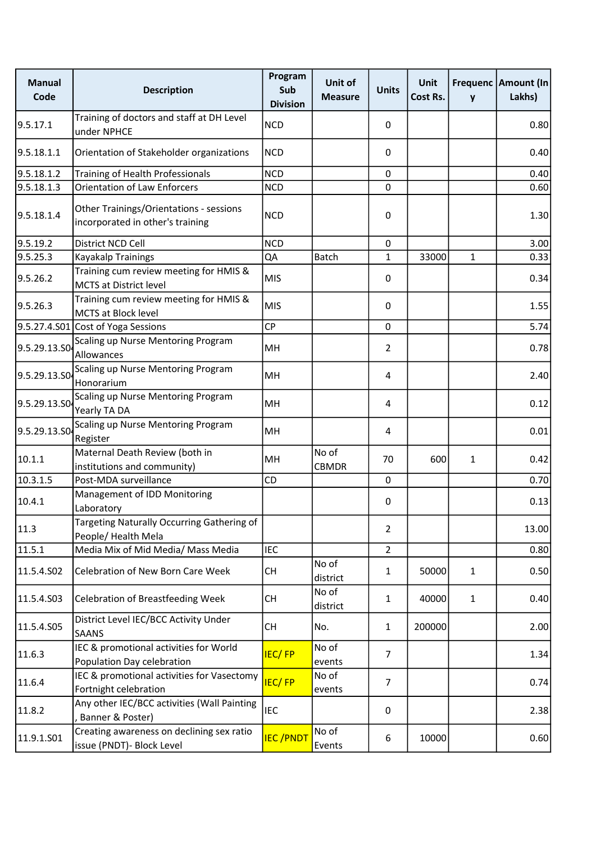| <b>Manual</b><br>Code | <b>Description</b>                                                          | Program<br>Sub<br><b>Division</b> | Unit of<br><b>Measure</b> | <b>Units</b>   | Unit<br>Cost Rs. | $\mathbf{y}$ | Frequenc   Amount (In<br>Lakhs) |
|-----------------------|-----------------------------------------------------------------------------|-----------------------------------|---------------------------|----------------|------------------|--------------|---------------------------------|
| 9.5.17.1              | Training of doctors and staff at DH Level<br>under NPHCE                    | <b>NCD</b>                        |                           | 0              |                  |              | 0.80                            |
| 9.5.18.1.1            | Orientation of Stakeholder organizations                                    | <b>NCD</b>                        |                           | 0              |                  |              | 0.40                            |
| 9.5.18.1.2            | Training of Health Professionals                                            | <b>NCD</b>                        |                           | $\mathbf 0$    |                  |              | 0.40                            |
| 9.5.18.1.3            | <b>Orientation of Law Enforcers</b>                                         | <b>NCD</b>                        |                           | $\mathbf 0$    |                  |              | 0.60                            |
| 9.5.18.1.4            | Other Trainings/Orientations - sessions<br>incorporated in other's training | <b>NCD</b>                        |                           | $\mathbf 0$    |                  |              | 1.30                            |
| 9.5.19.2              | District NCD Cell                                                           | <b>NCD</b>                        |                           | 0              |                  |              | 3.00                            |
| 9.5.25.3              | Kayakalp Trainings                                                          | QA                                | Batch                     | $\mathbf{1}$   | 33000            | $\mathbf{1}$ | 0.33                            |
| 9.5.26.2              | Training cum review meeting for HMIS &<br><b>MCTS at District level</b>     | <b>MIS</b>                        |                           | 0              |                  |              | 0.34                            |
| 9.5.26.3              | Training cum review meeting for HMIS &<br>MCTS at Block level               | <b>MIS</b>                        |                           | 0              |                  |              | 1.55                            |
|                       | 9.5.27.4.S01 Cost of Yoga Sessions                                          | <b>CP</b>                         |                           | $\mathbf 0$    |                  |              | 5.74                            |
| 9.5.29.13.SO          | Scaling up Nurse Mentoring Program<br>Allowances                            | MH                                |                           | $\overline{2}$ |                  |              | 0.78                            |
| 9.5.29.13.SO          | Scaling up Nurse Mentoring Program<br>Honorarium                            | MH                                |                           | $\overline{4}$ |                  |              | 2.40                            |
| 9.5.29.13.SO          | Scaling up Nurse Mentoring Program<br>Yearly TA DA                          | MH                                |                           | 4              |                  |              | 0.12                            |
| 9.5.29.13.SO4         | Scaling up Nurse Mentoring Program<br>Register                              | MH                                |                           | 4              |                  |              | 0.01                            |
| 10.1.1                | Maternal Death Review (both in<br>institutions and community)               | MH                                | No of<br><b>CBMDR</b>     | 70             | 600              | 1            | 0.42                            |
| 10.3.1.5              | Post-MDA surveillance                                                       | CD                                |                           | $\mathbf 0$    |                  |              | 0.70                            |
| 10.4.1                | Management of IDD Monitoring<br>Laboratory                                  |                                   |                           | 0              |                  |              | 0.13                            |
| 11.3                  | Targeting Naturally Occurring Gathering of<br>People/ Health Mela           |                                   |                           | $\overline{2}$ |                  |              | 13.00                           |
| 11.5.1                | Media Mix of Mid Media/ Mass Media                                          | <b>IEC</b>                        |                           | $\overline{2}$ |                  |              | 0.80                            |
| 11.5.4.S02            | Celebration of New Born Care Week                                           | <b>CH</b>                         | No of<br>district         | $\mathbf{1}$   | 50000            | 1            | 0.50                            |
| 11.5.4.S03            | <b>Celebration of Breastfeeding Week</b>                                    | <b>CH</b>                         | No of<br>district         | 1              | 40000            | $\mathbf{1}$ | 0.40                            |
| 11.5.4.S05            | District Level IEC/BCC Activity Under<br><b>SAANS</b>                       | <b>CH</b>                         | No.                       | $\mathbf{1}$   | 200000           |              | 2.00                            |
| 11.6.3                | IEC & promotional activities for World<br>Population Day celebration        | <b>IEC/FP</b>                     | No of<br>events           | $\overline{7}$ |                  |              | 1.34                            |
| 11.6.4                | IEC & promotional activities for Vasectomy<br>Fortnight celebration         | <b>IEC/FP</b>                     | No of<br>events           | $\overline{7}$ |                  |              | 0.74                            |
| 11.8.2                | Any other IEC/BCC activities (Wall Painting<br>Banner & Poster)             | <b>IEC</b>                        |                           | $\pmb{0}$      |                  |              | 2.38                            |
| 11.9.1.S01            | Creating awareness on declining sex ratio<br>issue (PNDT)- Block Level      | <b>IEC/PNDT</b>                   | No of<br>Events           | 6              | 10000            |              | 0.60                            |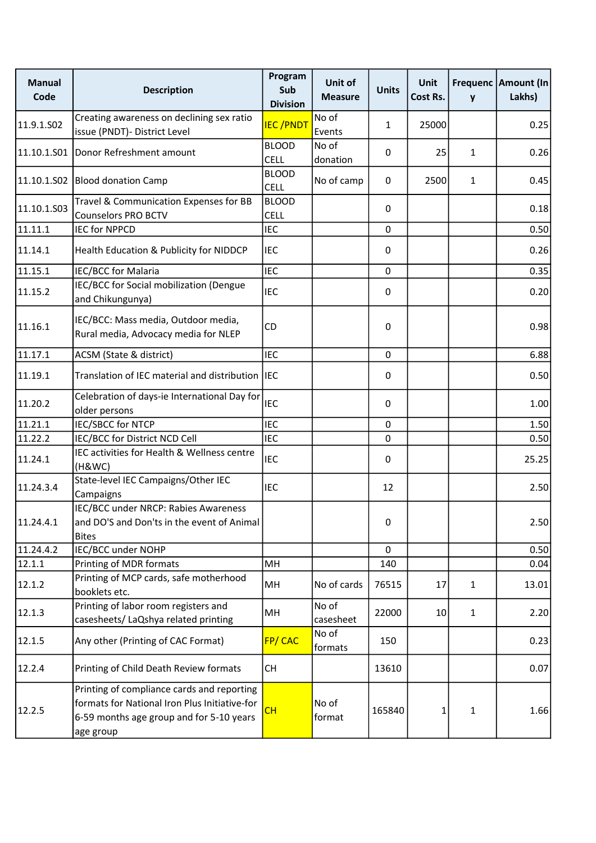| <b>Manual</b><br>Code | <b>Description</b>                                                                                                                                   | Program<br>Sub<br><b>Division</b> | <b>Unit of</b><br><b>Measure</b> | <b>Units</b> | <b>Unit</b><br>Cost Rs. | y            | Frequenc   Amount (In<br>Lakhs) |
|-----------------------|------------------------------------------------------------------------------------------------------------------------------------------------------|-----------------------------------|----------------------------------|--------------|-------------------------|--------------|---------------------------------|
| 11.9.1.SO2            | Creating awareness on declining sex ratio<br>issue (PNDT)- District Level                                                                            | <b>IEC/PNDT</b>                   | No of<br>Events                  | $\mathbf{1}$ | 25000                   |              | 0.25                            |
| 11.10.1.S01           | Donor Refreshment amount                                                                                                                             | <b>BLOOD</b><br><b>CELL</b>       | No of<br>donation                | 0            | 25                      | 1            | 0.26                            |
|                       | 11.10.1.S02 Blood donation Camp                                                                                                                      | <b>BLOOD</b><br><b>CELL</b>       | No of camp                       | $\Omega$     | 2500                    | 1            | 0.45                            |
| 11.10.1.503           | Travel & Communication Expenses for BB<br><b>Counselors PRO BCTV</b>                                                                                 | <b>BLOOD</b><br><b>CELL</b>       |                                  | 0            |                         |              | 0.18                            |
| 11.11.1               | <b>IEC for NPPCD</b>                                                                                                                                 | <b>IEC</b>                        |                                  | 0            |                         |              | 0.50                            |
| 11.14.1               | Health Education & Publicity for NIDDCP                                                                                                              | <b>IEC</b>                        |                                  | 0            |                         |              | 0.26                            |
| 11.15.1               | IEC/BCC for Malaria                                                                                                                                  | <b>IEC</b>                        |                                  | $\mathbf 0$  |                         |              | 0.35                            |
| 11.15.2               | IEC/BCC for Social mobilization (Dengue<br>and Chikungunya)                                                                                          | <b>IEC</b>                        |                                  | 0            |                         |              | 0.20                            |
| 11.16.1               | IEC/BCC: Mass media, Outdoor media,<br>Rural media, Advocacy media for NLEP                                                                          | CD                                |                                  | 0            |                         |              | 0.98                            |
| 11.17.1               | ACSM (State & district)                                                                                                                              | <b>IEC</b>                        |                                  | 0            |                         |              | 6.88                            |
| 11.19.1               | Translation of IEC material and distribution IEC                                                                                                     |                                   |                                  | 0            |                         |              | 0.50                            |
| 11.20.2               | Celebration of days-ie International Day for<br>older persons                                                                                        | <b>IEC</b>                        |                                  | 0            |                         |              | 1.00                            |
| 11.21.1               | IEC/SBCC for NTCP                                                                                                                                    | <b>IEC</b>                        |                                  | 0            |                         |              | 1.50                            |
| 11.22.2               | IEC/BCC for District NCD Cell                                                                                                                        | <b>IEC</b>                        |                                  | 0            |                         |              | 0.50                            |
| 11.24.1               | IEC activities for Health & Wellness centre<br>(H&WC)                                                                                                | <b>IEC</b>                        |                                  | 0            |                         |              | 25.25                           |
| 11.24.3.4             | State-level IEC Campaigns/Other IEC<br>Campaigns                                                                                                     | <b>IEC</b>                        |                                  | 12           |                         |              | 2.50                            |
| 11.24.4.1             | IEC/BCC under NRCP: Rabies Awareness<br>and DO'S and Don'ts in the event of Animal<br><b>Bites</b>                                                   |                                   |                                  | 0            |                         |              | 2.50                            |
| 11.24.4.2             | IEC/BCC under NOHP                                                                                                                                   |                                   |                                  | $\Omega$     |                         |              | 0.50                            |
| 12.1.1                | Printing of MDR formats                                                                                                                              | MH                                |                                  | 140          |                         |              | 0.04                            |
| 12.1.2                | Printing of MCP cards, safe motherhood<br>booklets etc.                                                                                              | MH                                | No of cards                      | 76515        | 17                      | $\mathbf{1}$ | 13.01                           |
| 12.1.3                | Printing of labor room registers and<br>casesheets/ LaQshya related printing                                                                         | MH                                | No of<br>casesheet               | 22000        | 10                      | $\mathbf{1}$ | 2.20                            |
| 12.1.5                | Any other (Printing of CAC Format)                                                                                                                   | FP/CAC                            | No of<br>formats                 | 150          |                         |              | 0.23                            |
| 12.2.4                | Printing of Child Death Review formats                                                                                                               | <b>CH</b>                         |                                  | 13610        |                         |              | 0.07                            |
| 12.2.5                | Printing of compliance cards and reporting<br>formats for National Iron Plus Initiative-for<br>6-59 months age group and for 5-10 years<br>age group | CH                                | No of<br>format                  | 165840       | 1                       | 1            | 1.66                            |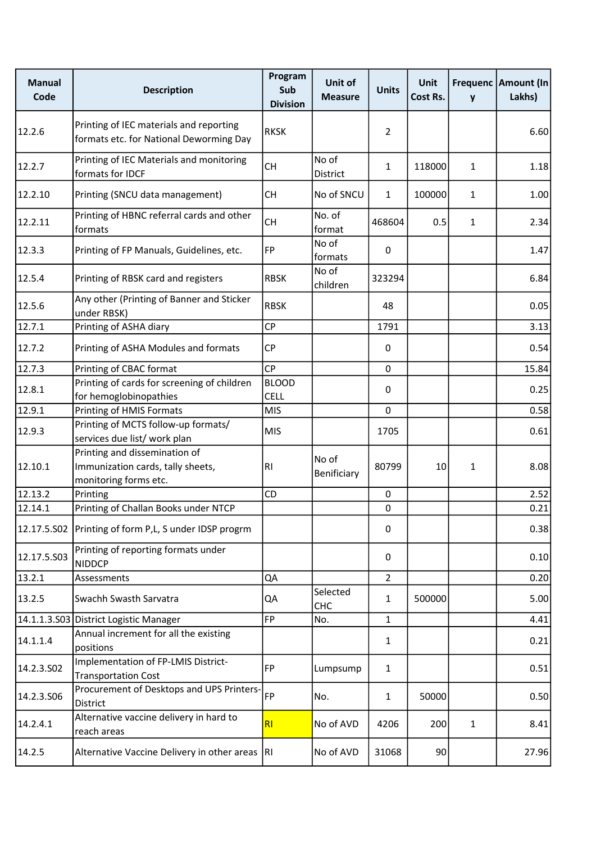| <b>Manual</b><br>Code | <b>Description</b>                                                                          | Program<br>Sub<br><b>Division</b> | Unit of<br><b>Measure</b> | <b>Units</b>     | Unit<br>Cost Rs. | y            | Frequenc Amount (In<br>Lakhs) |
|-----------------------|---------------------------------------------------------------------------------------------|-----------------------------------|---------------------------|------------------|------------------|--------------|-------------------------------|
| 12.2.6                | Printing of IEC materials and reporting<br>formats etc. for National Deworming Day          | <b>RKSK</b>                       |                           | $\overline{2}$   |                  |              | 6.60                          |
| 12.2.7                | Printing of IEC Materials and monitoring<br>formats for IDCF                                | <b>CH</b>                         | No of<br>District         | 1                | 118000           | 1            | 1.18                          |
| 12.2.10               | Printing (SNCU data management)                                                             | <b>CH</b>                         | No of SNCU                | $\mathbf{1}$     | 100000           | 1            | 1.00                          |
| 12.2.11               | Printing of HBNC referral cards and other<br>formats                                        | <b>CH</b>                         | No. of<br>format          | 468604           | 0.5              | 1            | 2.34                          |
| 12.3.3                | Printing of FP Manuals, Guidelines, etc.                                                    | FP                                | No of<br>formats          | 0                |                  |              | 1.47                          |
| 12.5.4                | Printing of RBSK card and registers                                                         | <b>RBSK</b>                       | No of<br>children         | 323294           |                  |              | 6.84                          |
| 12.5.6                | Any other (Printing of Banner and Sticker<br>under RBSK)                                    | <b>RBSK</b>                       |                           | 48               |                  |              | 0.05                          |
| 12.7.1                | Printing of ASHA diary                                                                      | <b>CP</b>                         |                           | 1791             |                  |              | 3.13                          |
| 12.7.2                | Printing of ASHA Modules and formats                                                        | <b>CP</b>                         |                           | 0                |                  |              | 0.54                          |
| 12.7.3                | Printing of CBAC format                                                                     | <b>CP</b>                         |                           | $\pmb{0}$        |                  |              | 15.84                         |
| 12.8.1                | Printing of cards for screening of children<br>for hemoglobinopathies                       | <b>BLOOD</b><br>CELL              |                           | $\boldsymbol{0}$ |                  |              | 0.25                          |
| 12.9.1                | Printing of HMIS Formats                                                                    | <b>MIS</b>                        |                           | $\mathbf 0$      |                  |              | 0.58                          |
| 12.9.3                | Printing of MCTS follow-up formats/<br>services due list/ work plan                         | <b>MIS</b>                        |                           | 1705             |                  |              | 0.61                          |
| 12.10.1               | Printing and dissemination of<br>Immunization cards, tally sheets,<br>monitoring forms etc. | RI                                | No of<br>Benificiary      | 80799            | 10               | 1            | 8.08                          |
| 12.13.2               | Printing                                                                                    | CD                                |                           | $\mathbf 0$      |                  |              | 2.52                          |
| 12.14.1               | Printing of Challan Books under NTCP                                                        |                                   |                           | 0                |                  |              | 0.21                          |
| 12.17.5.S02           | Printing of form P,L, S under IDSP progrm                                                   |                                   |                           | 0                |                  |              | 0.38                          |
| 12.17.5.503           | Printing of reporting formats under<br><b>NIDDCP</b>                                        |                                   |                           | 0                |                  |              | 0.10                          |
| 13.2.1                | Assessments                                                                                 | QA                                |                           | $\overline{2}$   |                  |              | 0.20                          |
| 13.2.5                | Swachh Swasth Sarvatra                                                                      | QA                                | Selected<br><b>CHC</b>    | $\mathbf{1}$     | 500000           |              | 5.00                          |
|                       | 14.1.1.3.S03 District Logistic Manager                                                      | <b>FP</b>                         | No.                       | $\mathbf{1}$     |                  |              | 4.41                          |
| 14.1.1.4              | Annual increment for all the existing<br>positions                                          |                                   |                           | $\mathbf{1}$     |                  |              | 0.21                          |
| 14.2.3.S02            | Implementation of FP-LMIS District-<br><b>Transportation Cost</b>                           | <b>FP</b>                         | Lumpsump                  | $\mathbf{1}$     |                  |              | 0.51                          |
| 14.2.3.S06            | Procurement of Desktops and UPS Printers-<br>District                                       | FP                                | No.                       | $\mathbf{1}$     | 50000            |              | 0.50                          |
| 14.2.4.1              | Alternative vaccine delivery in hard to<br>reach areas                                      | RI                                | No of AVD                 | 4206             | 200              | $\mathbf{1}$ | 8.41                          |
| 14.2.5                | Alternative Vaccine Delivery in other areas  RI                                             |                                   | No of AVD                 | 31068            | 90               |              | 27.96                         |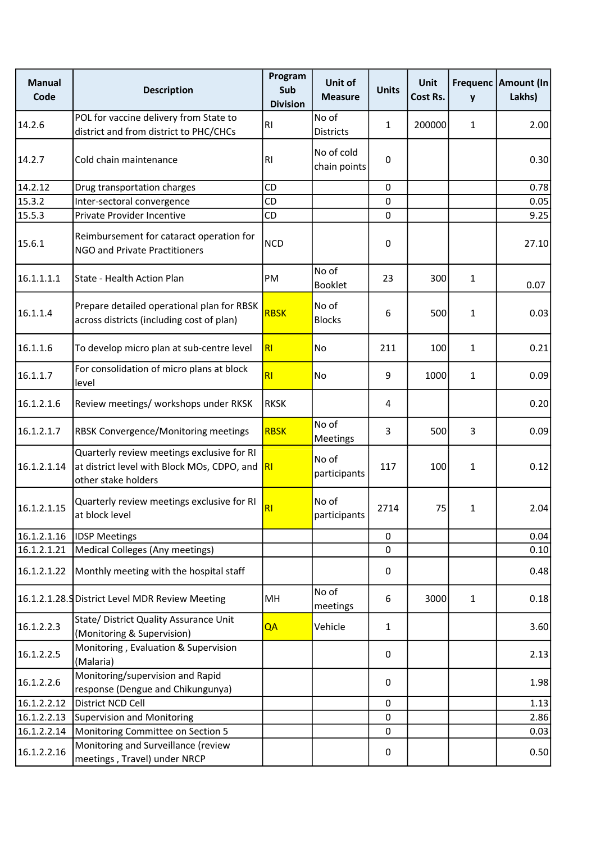| <b>Manual</b><br>Code | <b>Description</b>                                                                                               | Program<br>Sub<br><b>Division</b> | Unit of<br><b>Measure</b>  | <b>Units</b>   | Unit<br>Cost Rs. | y            | Frequenc   Amount (In<br>Lakhs) |
|-----------------------|------------------------------------------------------------------------------------------------------------------|-----------------------------------|----------------------------|----------------|------------------|--------------|---------------------------------|
| 14.2.6                | POL for vaccine delivery from State to<br>district and from district to PHC/CHCs                                 | RI                                | No of<br><b>Districts</b>  | $\mathbf{1}$   | 200000           | $\mathbf{1}$ | 2.00                            |
| 14.2.7                | Cold chain maintenance                                                                                           | RI                                | No of cold<br>chain points | 0              |                  |              | 0.30                            |
| 14.2.12               | Drug transportation charges                                                                                      | CD                                |                            | $\mathbf 0$    |                  |              | 0.78                            |
| 15.3.2                | Inter-sectoral convergence                                                                                       | CD                                |                            | 0              |                  |              | 0.05                            |
| 15.5.3                | Private Provider Incentive                                                                                       | CD                                |                            | $\mathbf 0$    |                  |              | 9.25                            |
| 15.6.1                | Reimbursement for cataract operation for<br>NGO and Private Practitioners                                        | <b>NCD</b>                        |                            | 0              |                  |              | 27.10                           |
| 16.1.1.1.1            | State - Health Action Plan                                                                                       | PM                                | No of<br>Booklet           | 23             | 300              | $\mathbf{1}$ | 0.07                            |
| 16.1.1.4              | Prepare detailed operational plan for RBSK<br>across districts (including cost of plan)                          | <b>RBSK</b>                       | No of<br><b>Blocks</b>     | 6              | 500              | 1            | 0.03                            |
| 16.1.1.6              | To develop micro plan at sub-centre level                                                                        | RI                                | No                         | 211            | 100              | 1            | 0.21                            |
| 16.1.1.7              | For consolidation of micro plans at block<br>level                                                               | RI                                | No                         | 9              | 1000             | $\mathbf{1}$ | 0.09                            |
| 16.1.2.1.6            | Review meetings/ workshops under RKSK                                                                            | <b>RKSK</b>                       |                            | $\overline{4}$ |                  |              | 0.20                            |
| 16.1.2.1.7            | <b>RBSK Convergence/Monitoring meetings</b>                                                                      | <b>RBSK</b>                       | No of<br>Meetings          | 3              | 500              | 3            | 0.09                            |
| 16.1.2.1.14           | Quarterly review meetings exclusive for RI<br>at district level with Block MOs, CDPO, and<br>other stake holders | R <sub>1</sub>                    | No of<br>participants      | 117            | 100              | 1            | 0.12                            |
| 16.1.2.1.15           | Quarterly review meetings exclusive for RI<br>at block level                                                     | R <sub>l</sub>                    | No of<br>participants      | 2714           | 75               | $\mathbf{1}$ | 2.04                            |
| 16.1.2.1.16           | <b>IDSP Meetings</b>                                                                                             |                                   |                            | $\mathbf 0$    |                  |              | 0.04                            |
| 16.1.2.1.21           | Medical Colleges (Any meetings)                                                                                  |                                   |                            | 0              |                  |              | 0.10                            |
| 16.1.2.1.22           | Monthly meeting with the hospital staff                                                                          |                                   |                            | 0              |                  |              | 0.48                            |
|                       | 16.1.2.1.28. SDistrict Level MDR Review Meeting                                                                  | MH                                | No of<br>meetings          | 6              | 3000             | $\mathbf{1}$ | 0.18                            |
| 16.1.2.2.3            | State/ District Quality Assurance Unit<br>(Monitoring & Supervision)                                             | QA                                | Vehicle                    | $\mathbf{1}$   |                  |              | 3.60                            |
| 16.1.2.2.5            | Monitoring, Evaluation & Supervision<br>(Malaria)                                                                |                                   |                            | 0              |                  |              | 2.13                            |
| 16.1.2.2.6            | Monitoring/supervision and Rapid<br>response (Dengue and Chikungunya)                                            |                                   |                            | 0              |                  |              | 1.98                            |
| 16.1.2.2.12           | District NCD Cell                                                                                                |                                   |                            | $\mathbf 0$    |                  |              | 1.13                            |
| 16.1.2.2.13           | Supervision and Monitoring                                                                                       |                                   |                            | 0              |                  |              | 2.86                            |
| 16.1.2.2.14           | Monitoring Committee on Section 5                                                                                |                                   |                            | $\mathbf 0$    |                  |              | 0.03                            |
| 16.1.2.2.16           | Monitoring and Surveillance (review<br>meetings, Travel) under NRCP                                              |                                   |                            | $\pmb{0}$      |                  |              | 0.50                            |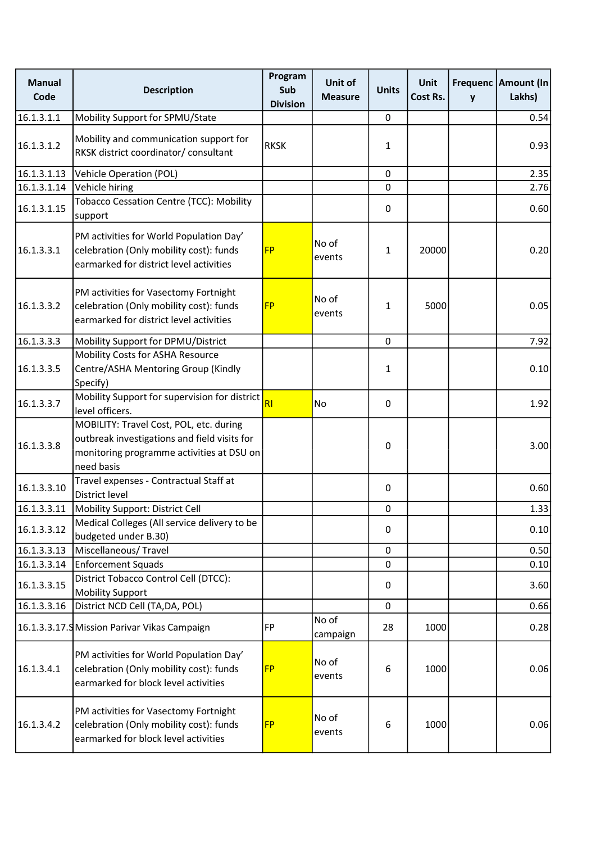| <b>Manual</b><br>Code | <b>Description</b>                                                                                                                                 | Program<br>Sub<br><b>Division</b> | Unit of<br><b>Measure</b> | <b>Units</b> | Unit<br>Cost Rs. | y | Frequenc Amount (In<br>Lakhs) |
|-----------------------|----------------------------------------------------------------------------------------------------------------------------------------------------|-----------------------------------|---------------------------|--------------|------------------|---|-------------------------------|
| 16.1.3.1.1            | Mobility Support for SPMU/State                                                                                                                    |                                   |                           | 0            |                  |   | 0.54                          |
| 16.1.3.1.2            | Mobility and communication support for<br>RKSK district coordinator/ consultant                                                                    | <b>RKSK</b>                       |                           | $\mathbf{1}$ |                  |   | 0.93                          |
| 16.1.3.1.13           | Vehicle Operation (POL)                                                                                                                            |                                   |                           | $\mathbf 0$  |                  |   | 2.35                          |
| 16.1.3.1.14           | Vehicle hiring                                                                                                                                     |                                   |                           | $\mathbf 0$  |                  |   | 2.76                          |
| 16.1.3.1.15           | Tobacco Cessation Centre (TCC): Mobility<br>support                                                                                                |                                   |                           | 0            |                  |   | 0.60                          |
| 16.1.3.3.1            | PM activities for World Population Day'<br>celebration (Only mobility cost): funds<br>earmarked for district level activities                      | <b>FP</b>                         | No of<br>events           | $\mathbf{1}$ | 20000            |   | 0.20                          |
| 16.1.3.3.2            | PM activities for Vasectomy Fortnight<br>celebration (Only mobility cost): funds<br>earmarked for district level activities                        | <b>FP</b>                         | No of<br>events           | $\mathbf{1}$ | 5000             |   | 0.05                          |
| 16.1.3.3.3            | Mobility Support for DPMU/District                                                                                                                 |                                   |                           | $\mathbf 0$  |                  |   | 7.92                          |
| 16.1.3.3.5            | Mobility Costs for ASHA Resource<br>Centre/ASHA Mentoring Group (Kindly<br>Specify)                                                                |                                   |                           | $\mathbf{1}$ |                  |   | 0.10                          |
| 16.1.3.3.7            | Mobility Support for supervision for district<br>level officers.                                                                                   | RI                                | No                        | $\mathbf 0$  |                  |   | 1.92                          |
| 16.1.3.3.8            | MOBILITY: Travel Cost, POL, etc. during<br>outbreak investigations and field visits for<br>monitoring programme activities at DSU on<br>need basis |                                   |                           | $\pmb{0}$    |                  |   | 3.00                          |
| 16.1.3.3.10           | Travel expenses - Contractual Staff at<br>District level                                                                                           |                                   |                           | $\mathbf 0$  |                  |   | 0.60                          |
| 16.1.3.3.11           | Mobility Support: District Cell                                                                                                                    |                                   |                           | $\pmb{0}$    |                  |   | 1.33                          |
| 16.1.3.3.12           | Medical Colleges (All service delivery to be<br>budgeted under B.30)                                                                               |                                   |                           | $\mathbf 0$  |                  |   | 0.10                          |
| 16.1.3.3.13           | Miscellaneous/Travel                                                                                                                               |                                   |                           | $\pmb{0}$    |                  |   | 0.50                          |
| 16.1.3.3.14           | <b>Enforcement Squads</b>                                                                                                                          |                                   |                           | 0            |                  |   | 0.10                          |
| 16.1.3.3.15           | District Tobacco Control Cell (DTCC):<br>Mobility Support                                                                                          |                                   |                           | 0            |                  |   | 3.60                          |
| 16.1.3.3.16           | District NCD Cell (TA, DA, POL)                                                                                                                    |                                   |                           | $\mathbf 0$  |                  |   | 0.66                          |
|                       | 16.1.3.3.17.5 Mission Parivar Vikas Campaign                                                                                                       | FP                                | No of<br>campaign         | 28           | 1000             |   | 0.28                          |
| 16.1.3.4.1            | PM activities for World Population Day'<br>celebration (Only mobility cost): funds<br>earmarked for block level activities                         | <b>FP</b>                         | No of<br>events           | 6            | 1000             |   | 0.06                          |
| 16.1.3.4.2            | PM activities for Vasectomy Fortnight<br>celebration (Only mobility cost): funds<br>earmarked for block level activities                           | <b>FP</b>                         | No of<br>events           | 6            | 1000             |   | 0.06                          |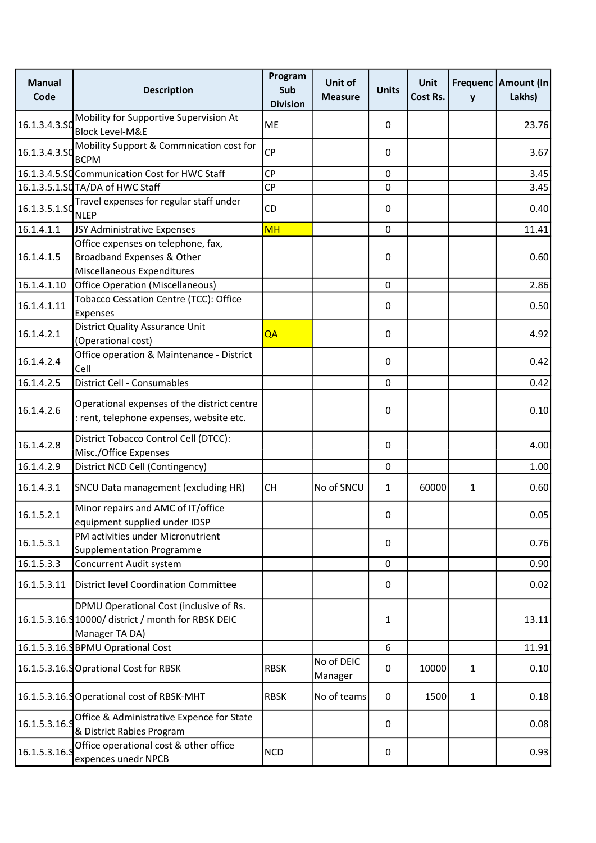| <b>Manual</b><br>Code | <b>Description</b>                                                                                               | Program<br>Sub<br><b>Division</b> | Unit of<br><b>Measure</b> | <b>Units</b>     | Unit<br>Cost Rs. | y            | Frequenc   Amount (In<br>Lakhs) |
|-----------------------|------------------------------------------------------------------------------------------------------------------|-----------------------------------|---------------------------|------------------|------------------|--------------|---------------------------------|
| 16.1.3.4.3.50         | Mobility for Supportive Supervision At<br><b>Block Level-M&amp;E</b>                                             | <b>ME</b>                         |                           | 0                |                  |              | 23.76                           |
| 16.1.3.4.3.50         | Mobility Support & Commnication cost for<br><b>BCPM</b>                                                          | <b>CP</b>                         |                           | 0                |                  |              | 3.67                            |
|                       | 16.1.3.4.5.SQ Communication Cost for HWC Staff                                                                   | <b>CP</b>                         |                           | $\mathbf 0$      |                  |              | 3.45                            |
|                       | 16.1.3.5.1.SQ TA/DA of HWC Staff                                                                                 | <b>CP</b>                         |                           | $\mathbf 0$      |                  |              | 3.45                            |
| 16.1.3.5.1.50         | Travel expenses for regular staff under<br><b>NLEP</b>                                                           | <b>CD</b>                         |                           | 0                |                  |              | 0.40                            |
| 16.1.4.1.1            | JSY Administrative Expenses                                                                                      | <b>MH</b>                         |                           | $\mathbf 0$      |                  |              | 11.41                           |
| 16.1.4.1.5            | Office expenses on telephone, fax,<br>Broadband Expenses & Other<br>Miscellaneous Expenditures                   |                                   |                           | $\boldsymbol{0}$ |                  |              | 0.60                            |
| 16.1.4.1.10           | Office Operation (Miscellaneous)                                                                                 |                                   |                           | $\mathbf 0$      |                  |              | 2.86                            |
| 16.1.4.1.11           | Tobacco Cessation Centre (TCC): Office<br>Expenses                                                               |                                   |                           | 0                |                  |              | 0.50                            |
| 16.1.4.2.1            | <b>District Quality Assurance Unit</b><br>(Operational cost)                                                     | QA                                |                           | 0                |                  |              | 4.92                            |
| 16.1.4.2.4            | Office operation & Maintenance - District<br>Cell                                                                |                                   |                           | 0                |                  |              | 0.42                            |
| 16.1.4.2.5            | District Cell - Consumables                                                                                      |                                   |                           | $\mathbf 0$      |                  |              | 0.42                            |
| 16.1.4.2.6            | Operational expenses of the district centre<br>: rent, telephone expenses, website etc.                          |                                   |                           | 0                |                  |              | 0.10                            |
| 16.1.4.2.8            | District Tobacco Control Cell (DTCC):<br>Misc./Office Expenses                                                   |                                   |                           | 0                |                  |              | 4.00                            |
| 16.1.4.2.9            | District NCD Cell (Contingency)                                                                                  |                                   |                           | $\mathbf 0$      |                  |              | 1.00                            |
| 16.1.4.3.1            | SNCU Data management (excluding HR)                                                                              | <b>CH</b>                         | No of SNCU                | $\mathbf{1}$     | 60000            | $\mathbf{1}$ | 0.60                            |
| 16.1.5.2.1            | Minor repairs and AMC of IT/office<br>equipment supplied under IDSP                                              |                                   |                           | $\Omega$         |                  |              | 0.05                            |
| 16.1.5.3.1            | PM activities under Micronutrient<br><b>Supplementation Programme</b>                                            |                                   |                           | $\boldsymbol{0}$ |                  |              | 0.76                            |
| 16.1.5.3.3            | Concurrent Audit system                                                                                          |                                   |                           | $\mathbf 0$      |                  |              | 0.90                            |
| 16.1.5.3.11           | District level Coordination Committee                                                                            |                                   |                           | $\boldsymbol{0}$ |                  |              | 0.02                            |
|                       | DPMU Operational Cost (inclusive of Rs.<br>16.1.5.3.16.9 10000/ district / month for RBSK DEIC<br>Manager TA DA) |                                   |                           | 1                |                  |              | 13.11                           |
|                       | 16.1.5.3.16.SBPMU Oprational Cost                                                                                |                                   |                           | 6                |                  |              | 11.91                           |
|                       | 16.1.5.3.16.9 Oprational Cost for RBSK                                                                           | <b>RBSK</b>                       | No of DEIC<br>Manager     | $\boldsymbol{0}$ | 10000            | $\mathbf{1}$ | 0.10                            |
|                       | 16.1.5.3.16.9 Operational cost of RBSK-MHT                                                                       | <b>RBSK</b>                       | No of teams               | 0                | 1500             | $\mathbf{1}$ | 0.18                            |
| 16.1.5.3.16.9         | Office & Administrative Expence for State<br>& District Rabies Program                                           |                                   |                           | 0                |                  |              | 0.08                            |
| 16.1.5.3.16.9         | Office operational cost & other office<br>expences unedr NPCB                                                    | <b>NCD</b>                        |                           | $\pmb{0}$        |                  |              | 0.93                            |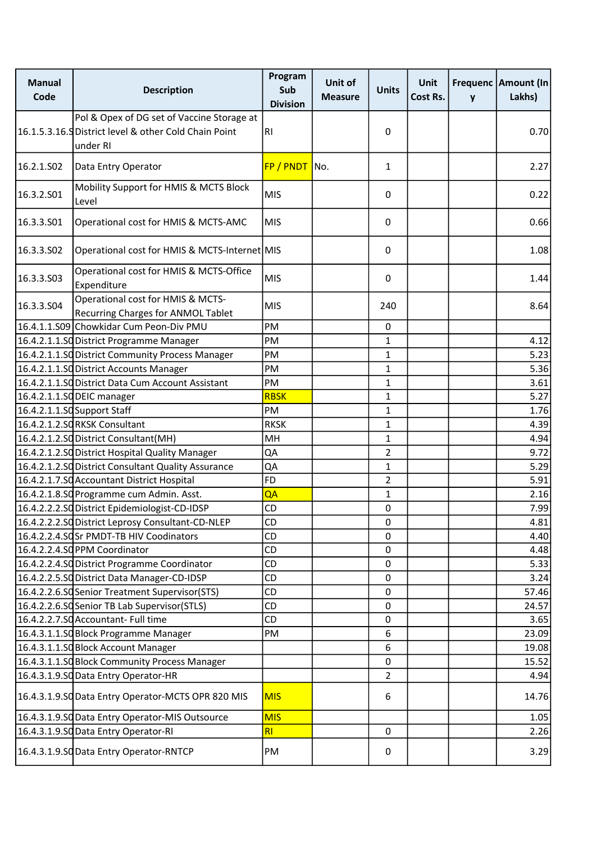| <b>Manual</b><br>Code | <b>Description</b>                                                                                              | Program<br>Sub<br><b>Division</b> | Unit of<br><b>Measure</b> | <b>Units</b>     | Unit<br>Cost Rs. | y | Frequenc Amount (In<br>Lakhs) |
|-----------------------|-----------------------------------------------------------------------------------------------------------------|-----------------------------------|---------------------------|------------------|------------------|---|-------------------------------|
|                       | Pol & Opex of DG set of Vaccine Storage at<br>16.1.5.3.16.9 District level & other Cold Chain Point<br>under RI | R <sub>l</sub>                    |                           | 0                |                  |   | 0.70                          |
| 16.2.1.S02            | Data Entry Operator                                                                                             | FP / PNDT No.                     |                           | 1                |                  |   | 2.27                          |
| 16.3.2.501            | Mobility Support for HMIS & MCTS Block<br>Level                                                                 | <b>MIS</b>                        |                           | 0                |                  |   | 0.22                          |
| 16.3.3.501            | Operational cost for HMIS & MCTS-AMC                                                                            | <b>MIS</b>                        |                           | 0                |                  |   | 0.66                          |
| 16.3.3.502            | Operational cost for HMIS & MCTS-Internet MIS                                                                   |                                   |                           | 0                |                  |   | 1.08                          |
| 16.3.3.503            | Operational cost for HMIS & MCTS-Office<br>Expenditure                                                          | <b>MIS</b>                        |                           | 0                |                  |   | 1.44                          |
| 16.3.3.S04            | Operational cost for HMIS & MCTS-<br><b>Recurring Charges for ANMOL Tablet</b>                                  | <b>MIS</b>                        |                           | 240              |                  |   | 8.64                          |
|                       | 16.4.1.1.509 Chowkidar Cum Peon-Div PMU                                                                         | PM                                |                           | $\boldsymbol{0}$ |                  |   |                               |
|                       | 16.4.2.1.1.SQ District Programme Manager                                                                        | PM                                |                           | 1                |                  |   | 4.12                          |
|                       | 16.4.2.1.1.SQ District Community Process Manager                                                                | PM                                |                           | 1                |                  |   | 5.23                          |
|                       | 16.4.2.1.1.SO District Accounts Manager                                                                         | PM                                |                           | 1                |                  |   | 5.36                          |
|                       | 16.4.2.1.1.SQ District Data Cum Account Assistant                                                               | PM                                |                           | $\mathbf{1}$     |                  |   | 3.61                          |
|                       | 16.4.2.1.1.SO DEIC manager                                                                                      | <b>RBSK</b>                       |                           | 1                |                  |   | 5.27                          |
|                       | 16.4.2.1.1.SQ Support Staff                                                                                     | PM                                |                           | $\mathbf{1}$     |                  |   | 1.76                          |
|                       | 16.4.2.1.2.SORKSK Consultant                                                                                    | <b>RKSK</b>                       |                           | 1                |                  |   | 4.39                          |
|                       | 16.4.2.1.2.SO District Consultant(MH)                                                                           | MH                                |                           | 1                |                  |   | 4.94                          |
|                       | 16.4.2.1.2.SQ District Hospital Quality Manager                                                                 | QA                                |                           | 2                |                  |   | 9.72                          |
|                       | 16.4.2.1.2.SQ District Consultant Quality Assurance                                                             | QA                                |                           | $\mathbf{1}$     |                  |   | 5.29                          |
|                       | 16.4.2.1.7.SO Accountant District Hospital                                                                      | FD                                |                           | 2                |                  |   | 5.91                          |
|                       | 16.4.2.1.8.SO Programme cum Admin. Asst.                                                                        | QA                                |                           | 1                |                  |   | 2.16                          |
|                       | 16.4.2.2.2.SO District Epidemiologist-CD-IDSP                                                                   | CD                                |                           | $\pmb{0}$        |                  |   | 7.99                          |
|                       | 16.4.2.2.2.SO District Leprosy Consultant-CD-NLEP                                                               | CD                                |                           | 0                |                  |   | 4.81                          |
|                       | 16.4.2.2.4.SOSr PMDT-TB HIV Coodinators                                                                         | <b>CD</b>                         |                           | $\mathbf 0$      |                  |   | 4.40                          |
|                       | 16.4.2.2.4.SO PPM Coordinator                                                                                   | CD                                |                           | $\pmb{0}$        |                  |   | 4.48                          |
|                       | 16.4.2.2.4.SO District Programme Coordinator                                                                    | CD                                |                           | $\mathbf 0$      |                  |   | 5.33                          |
|                       | 16.4.2.2.5.SQ District Data Manager-CD-IDSP                                                                     | CD                                |                           | $\mathbf 0$      |                  |   | 3.24                          |
|                       | 16.4.2.2.6.SQ Senior Treatment Supervisor(STS)                                                                  | CD                                |                           | $\pmb{0}$        |                  |   | 57.46                         |
|                       | 16.4.2.2.6.SQ Senior TB Lab Supervisor(STLS)                                                                    | CD                                |                           | $\mathbf 0$      |                  |   | 24.57                         |
|                       | 16.4.2.2.7.SO Accountant- Full time                                                                             | <b>CD</b>                         |                           | 0                |                  |   | 3.65                          |
|                       | 16.4.3.1.1.SO Block Programme Manager                                                                           | PM                                |                           | 6                |                  |   | 23.09                         |
|                       | 16.4.3.1.1.SO Block Account Manager                                                                             |                                   |                           | 6                |                  |   | 19.08                         |
|                       | 16.4.3.1.1.SQ Block Community Process Manager                                                                   |                                   |                           | 0                |                  |   | 15.52                         |
|                       | 16.4.3.1.9.SO Data Entry Operator-HR                                                                            |                                   |                           | $\overline{2}$   |                  |   | 4.94                          |
|                       | 16.4.3.1.9.SQ Data Entry Operator-MCTS OPR 820 MIS                                                              | <b>MIS</b>                        |                           | 6                |                  |   | 14.76                         |
|                       | 16.4.3.1.9.SQ Data Entry Operator-MIS Outsource                                                                 | <b>MIS</b>                        |                           |                  |                  |   | 1.05                          |
|                       | 16.4.3.1.9.SO Data Entry Operator-RI                                                                            | RI                                |                           | $\mathbf 0$      |                  |   | 2.26                          |
|                       | 16.4.3.1.9.SO Data Entry Operator-RNTCP                                                                         | PM                                |                           | 0                |                  |   | 3.29                          |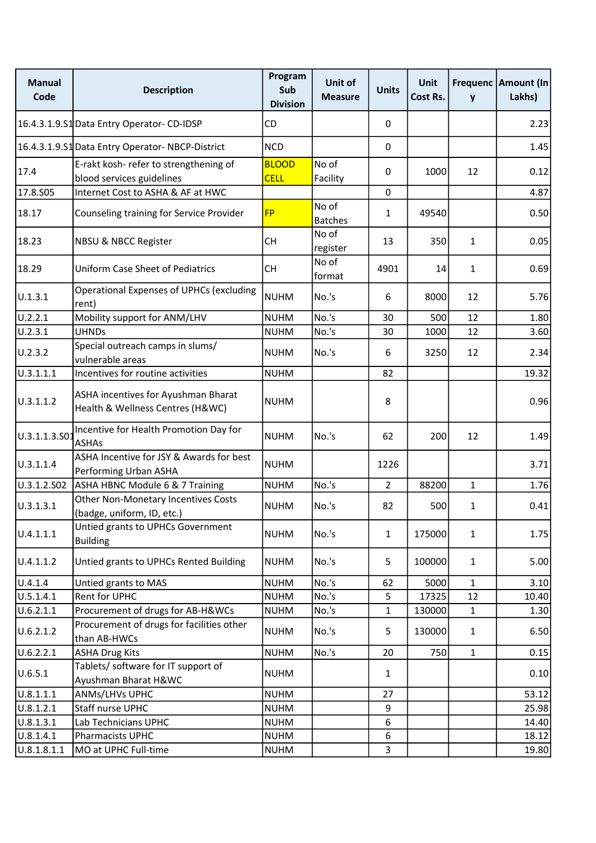| <b>Manual</b><br>Code | <b>Description</b>                                                      | Program<br>Sub<br><b>Division</b> | Unit of<br><b>Measure</b> | <b>Units</b>   | <b>Unit</b><br>Cost Rs. | y            | Frequenc   Amount (In<br>Lakhs) |
|-----------------------|-------------------------------------------------------------------------|-----------------------------------|---------------------------|----------------|-------------------------|--------------|---------------------------------|
|                       | 16.4.3.1.9.S1 Data Entry Operator-CD-IDSP                               | CD                                |                           | $\mathbf{0}$   |                         |              | 2.23                            |
|                       | 16.4.3.1.9.51 Data Entry Operator-NBCP-District                         | <b>NCD</b>                        |                           | $\mathbf 0$    |                         |              | 1.45                            |
| 17.4                  | E-rakt kosh- refer to strengthening of<br>blood services guidelines     | <b>BLOOD</b><br><b>CELL</b>       | No of<br>Facility         | $\mathbf{0}$   | 1000                    | 12           | 0.12                            |
| 17.8.S05              | Internet Cost to ASHA & AF at HWC                                       |                                   |                           | $\mathbf 0$    |                         |              | 4.87                            |
| 18.17                 | Counseling training for Service Provider                                | <b>FP</b>                         | No of<br><b>Batches</b>   | $\mathbf{1}$   | 49540                   |              | 0.50                            |
| 18.23                 | <b>NBSU &amp; NBCC Register</b>                                         | <b>CH</b>                         | No of<br>register         | 13             | 350                     | $\mathbf{1}$ | 0.05                            |
| 18.29                 | <b>Uniform Case Sheet of Pediatrics</b>                                 | <b>CH</b>                         | No of<br>format           | 4901           | 14                      | 1            | 0.69                            |
| U.1.3.1               | <b>Operational Expenses of UPHCs (excluding</b><br>rent)                | <b>NUHM</b>                       | No.'s                     | 6              | 8000                    | 12           | 5.76                            |
| U.2.2.1               | Mobility support for ANM/LHV                                            | <b>NUHM</b>                       | No.'s                     | 30             | 500                     | 12           | 1.80                            |
| U.2.3.1               | <b>UHNDs</b>                                                            | <b>NUHM</b>                       | No.'s                     | 30             | 1000                    | 12           | 3.60                            |
| U.2.3.2               | Special outreach camps in slums/<br>vulnerable areas                    | <b>NUHM</b>                       | No.'s                     | 6              | 3250                    | 12           | 2.34                            |
| U.3.1.1.1             | Incentives for routine activities                                       | <b>NUHM</b>                       |                           | 82             |                         |              | 19.32                           |
| U.3.1.1.2             | ASHA incentives for Ayushman Bharat<br>Health & Wellness Centres (H&WC) | <b>NUHM</b>                       |                           | 8              |                         |              | 0.96                            |
| U.3.1.1.3.S01         | Incentive for Health Promotion Day for<br><b>ASHAs</b>                  | <b>NUHM</b>                       | No.'s                     | 62             | 200                     | 12           | 1.49                            |
| U.3.1.1.4             | ASHA Incentive for JSY & Awards for best<br>Performing Urban ASHA       | <b>NUHM</b>                       |                           | 1226           |                         |              | 3.71                            |
| U.3.1.2.S02           | ASHA HBNC Module 6 & 7 Training                                         | <b>NUHM</b>                       | No.'s                     | $\overline{2}$ | 88200                   | $\mathbf{1}$ | 1.76                            |
| U.3.1.3.1             | Other Non-Monetary Incentives Costs<br>(badge, uniform, ID, etc.)       | <b>NUHM</b>                       | No.'s                     | 82             | 500                     | $\mathbf{1}$ | 0.41                            |
| U.4.1.1.1             | Untied grants to UPHCs Government<br><b>Building</b>                    | <b>NUHM</b>                       | No.'s                     | $\mathbf{1}$   | 175000                  | $\mathbf{1}$ | 1.75                            |
| U.4.1.1.2             | Untied grants to UPHCs Rented Building                                  | <b>NUHM</b>                       | No.'s                     | 5              | 100000                  | $\mathbf{1}$ | 5.00                            |
| U.4.1.4               | Untied grants to MAS                                                    | <b>NUHM</b>                       | No.'s                     | 62             | 5000                    | $\mathbf{1}$ | 3.10                            |
| U.5.1.4.1             | Rent for UPHC                                                           | <b>NUHM</b>                       | No.'s                     | 5              | 17325                   | 12           | 10.40                           |
| U.6.2.1.1             | Procurement of drugs for AB-H&WCs                                       | <b>NUHM</b>                       | No.'s                     | $\mathbf{1}$   | 130000                  | $\mathbf{1}$ | 1.30                            |
| U.6.2.1.2             | Procurement of drugs for facilities other<br>than AB-HWCs               | <b>NUHM</b>                       | No.'s                     | 5              | 130000                  | $\mathbf{1}$ | 6.50                            |
| U.6.2.2.1             | <b>ASHA Drug Kits</b>                                                   | <b>NUHM</b>                       | No.'s                     | 20             | 750                     | $\mathbf{1}$ | 0.15                            |
| U.6.5.1               | Tablets/ software for IT support of<br>Ayushman Bharat H&WC             | <b>NUHM</b>                       |                           | $\mathbf{1}$   |                         |              | 0.10                            |
| U.8.1.1.1             | ANMs/LHVs UPHC                                                          | <b>NUHM</b>                       |                           | 27             |                         |              | 53.12                           |
| U.8.1.2.1             | Staff nurse UPHC                                                        | <b>NUHM</b>                       |                           | 9              |                         |              | 25.98                           |
| U.8.1.3.1             | Lab Technicians UPHC                                                    | <b>NUHM</b>                       |                           | 6              |                         |              | 14.40                           |
| U.8.1.4.1             | Pharmacists UPHC                                                        | <b>NUHM</b>                       |                           | 6              |                         |              | 18.12                           |
| U.8.1.8.1.1           | MO at UPHC Full-time                                                    | <b>NUHM</b>                       |                           | 3              |                         |              | 19.80                           |